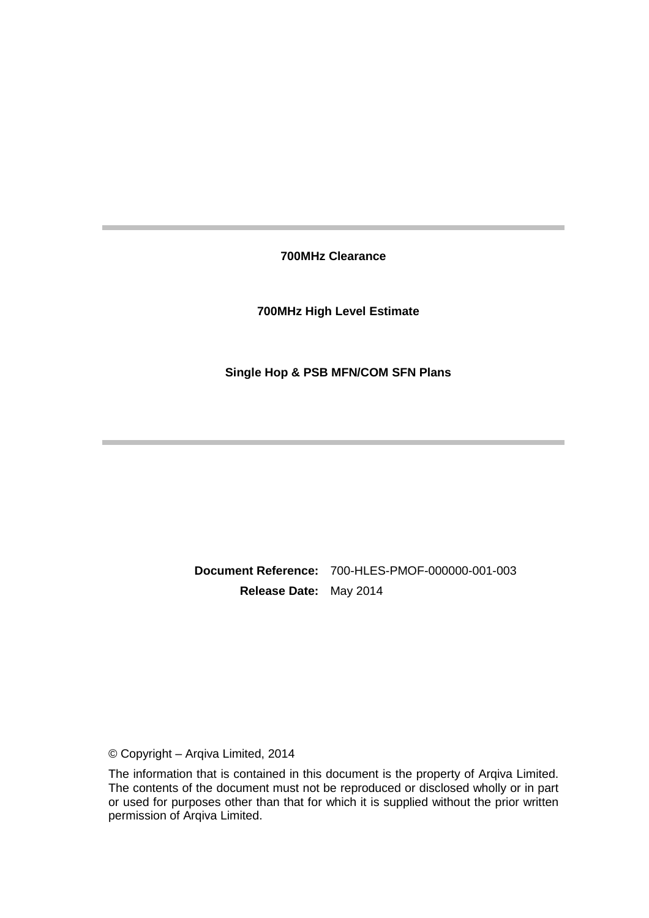**700MHz Clearance** 

**700MHz High Level Estimate** 

**Single Hop & PSB MFN/COM SFN Plans** 

**Document Reference:** 700-HLES-PMOF-000000-001-003 **Release Date:** May 2014

© Copyright – Arqiva Limited, 2014

The information that is contained in this document is the property of Arqiva Limited. The contents of the document must not be reproduced or disclosed wholly or in part or used for purposes other than that for which it is supplied without the prior written permission of Arqiva Limited.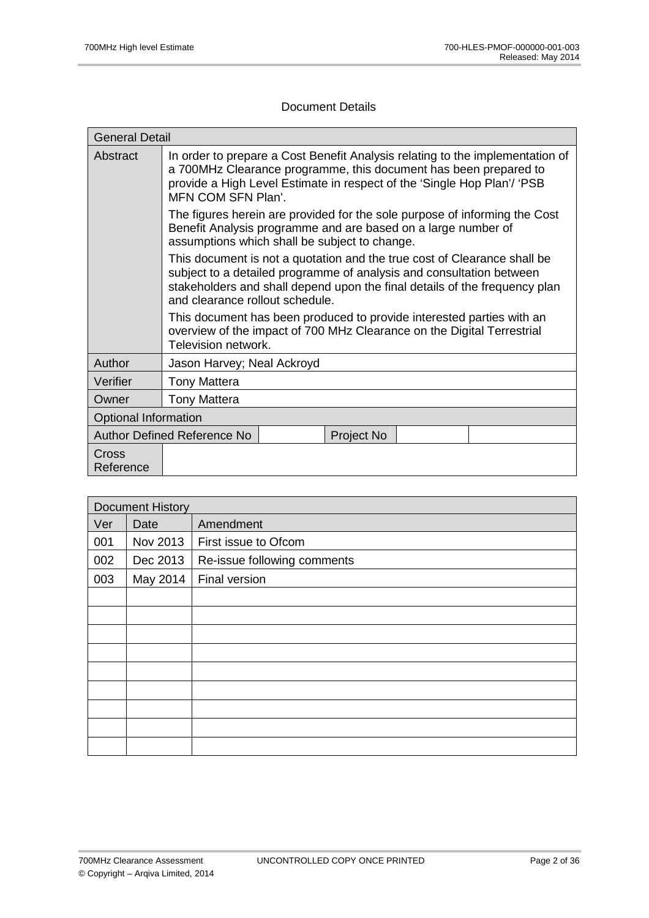## Document Details

| <b>General Detail</b>       |                                                                                                                                                                                                                                                                   |  |  |
|-----------------------------|-------------------------------------------------------------------------------------------------------------------------------------------------------------------------------------------------------------------------------------------------------------------|--|--|
| Abstract                    | In order to prepare a Cost Benefit Analysis relating to the implementation of<br>a 700MHz Clearance programme, this document has been prepared to<br>provide a High Level Estimate in respect of the 'Single Hop Plan'/ 'PSB<br>MFN COM SFN Plan'.                |  |  |
|                             | The figures herein are provided for the sole purpose of informing the Cost<br>Benefit Analysis programme and are based on a large number of<br>assumptions which shall be subject to change.                                                                      |  |  |
|                             | This document is not a quotation and the true cost of Clearance shall be<br>subject to a detailed programme of analysis and consultation between<br>stakeholders and shall depend upon the final details of the frequency plan<br>and clearance rollout schedule. |  |  |
|                             | This document has been produced to provide interested parties with an<br>overview of the impact of 700 MHz Clearance on the Digital Terrestrial<br>Television network.                                                                                            |  |  |
| Author                      | Jason Harvey; Neal Ackroyd                                                                                                                                                                                                                                        |  |  |
| Verifier                    | <b>Tony Mattera</b>                                                                                                                                                                                                                                               |  |  |
| Owner                       | <b>Tony Mattera</b>                                                                                                                                                                                                                                               |  |  |
| <b>Optional Information</b> |                                                                                                                                                                                                                                                                   |  |  |
|                             | Author Defined Reference No<br>Project No                                                                                                                                                                                                                         |  |  |
| Cross<br>Reference          |                                                                                                                                                                                                                                                                   |  |  |

| <b>Document History</b> |          |                             |  |
|-------------------------|----------|-----------------------------|--|
| Ver                     | Date     | Amendment                   |  |
| 001                     | Nov 2013 | First issue to Ofcom        |  |
| 002                     | Dec 2013 | Re-issue following comments |  |
| 003                     | May 2014 | Final version               |  |
|                         |          |                             |  |
|                         |          |                             |  |
|                         |          |                             |  |
|                         |          |                             |  |
|                         |          |                             |  |
|                         |          |                             |  |
|                         |          |                             |  |
|                         |          |                             |  |
|                         |          |                             |  |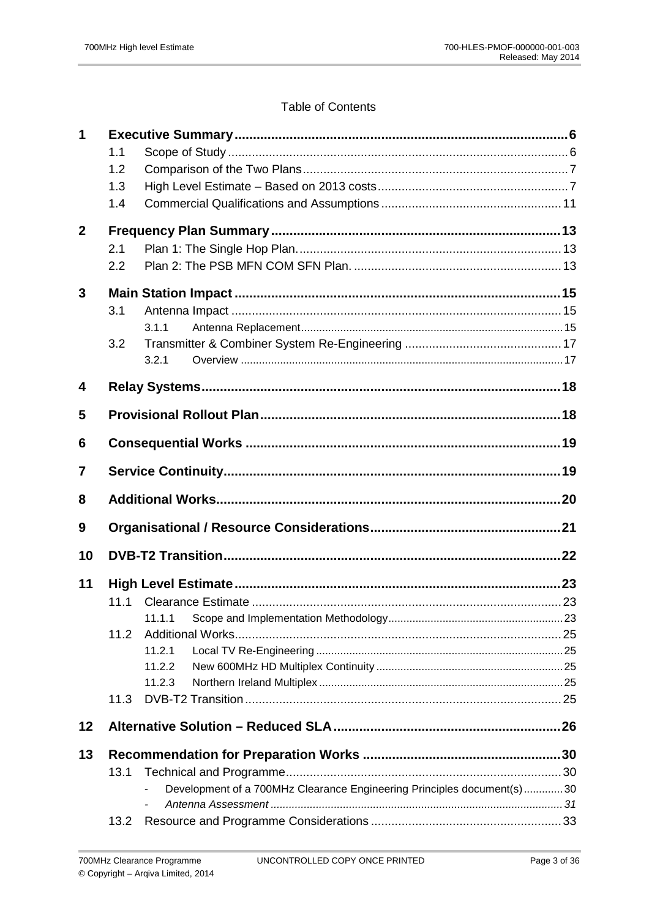# **Table of Contents**

| 1              |      |                                                                        |  |
|----------------|------|------------------------------------------------------------------------|--|
|                | 1.1  |                                                                        |  |
|                | 1.2  |                                                                        |  |
|                | 1.3  |                                                                        |  |
|                | 1.4  |                                                                        |  |
| $\mathbf{2}$   |      |                                                                        |  |
|                | 2.1  |                                                                        |  |
|                | 2.2  |                                                                        |  |
| 3              |      |                                                                        |  |
|                | 3.1  |                                                                        |  |
|                |      | 3.1.1                                                                  |  |
|                | 3.2  |                                                                        |  |
|                |      | 3.2.1                                                                  |  |
| 4              |      |                                                                        |  |
| 5              |      |                                                                        |  |
| 6              |      |                                                                        |  |
| $\overline{7}$ |      |                                                                        |  |
| 8              |      |                                                                        |  |
| 9              |      |                                                                        |  |
| 10             |      |                                                                        |  |
| 11             |      |                                                                        |  |
|                |      |                                                                        |  |
|                |      | 11.1.1                                                                 |  |
|                | 11.2 |                                                                        |  |
|                |      | 11.2.1                                                                 |  |
|                |      | 11.2.2                                                                 |  |
|                |      | 11.2.3                                                                 |  |
|                | 11.3 |                                                                        |  |
| 12             |      |                                                                        |  |
| 13             |      |                                                                        |  |
|                | 13.1 |                                                                        |  |
|                |      | Development of a 700MHz Clearance Engineering Principles document(s)30 |  |
|                | 13.2 |                                                                        |  |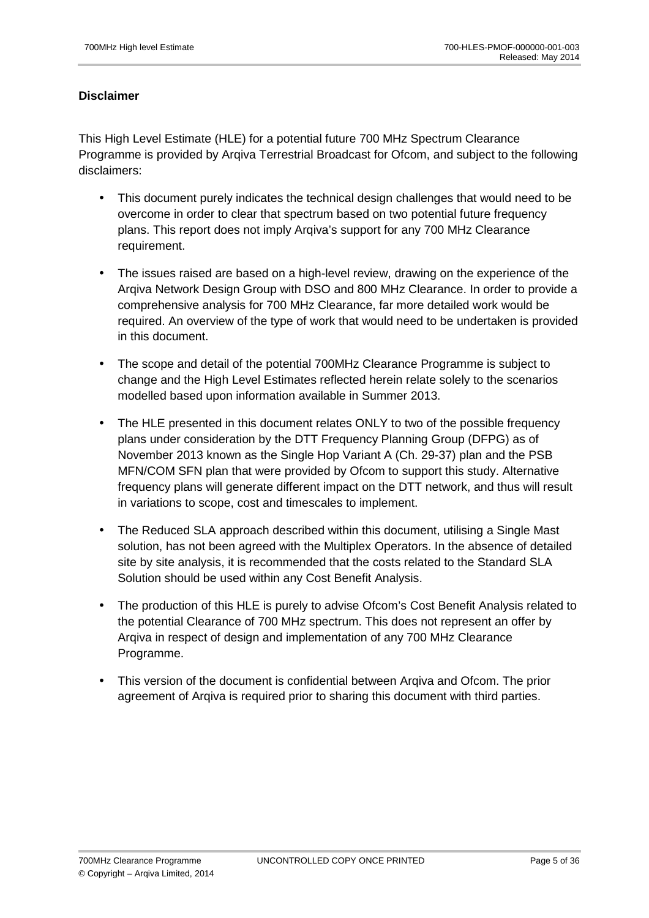# **Disclaimer**

This High Level Estimate (HLE) for a potential future 700 MHz Spectrum Clearance Programme is provided by Arqiva Terrestrial Broadcast for Ofcom, and subject to the following disclaimers:

- This document purely indicates the technical design challenges that would need to be overcome in order to clear that spectrum based on two potential future frequency plans. This report does not imply Arqiva's support for any 700 MHz Clearance requirement.
- The issues raised are based on a high-level review, drawing on the experience of the Arqiva Network Design Group with DSO and 800 MHz Clearance. In order to provide a comprehensive analysis for 700 MHz Clearance, far more detailed work would be required. An overview of the type of work that would need to be undertaken is provided in this document.
- The scope and detail of the potential 700MHz Clearance Programme is subject to change and the High Level Estimates reflected herein relate solely to the scenarios modelled based upon information available in Summer 2013.
- The HLE presented in this document relates ONLY to two of the possible frequency plans under consideration by the DTT Frequency Planning Group (DFPG) as of November 2013 known as the Single Hop Variant A (Ch. 29-37) plan and the PSB MFN/COM SFN plan that were provided by Ofcom to support this study. Alternative frequency plans will generate different impact on the DTT network, and thus will result in variations to scope, cost and timescales to implement.
- The Reduced SLA approach described within this document, utilising a Single Mast solution, has not been agreed with the Multiplex Operators. In the absence of detailed site by site analysis, it is recommended that the costs related to the Standard SLA Solution should be used within any Cost Benefit Analysis.
- The production of this HLE is purely to advise Ofcom's Cost Benefit Analysis related to the potential Clearance of 700 MHz spectrum. This does not represent an offer by Arqiva in respect of design and implementation of any 700 MHz Clearance Programme.
- This version of the document is confidential between Arqiva and Ofcom. The prior agreement of Arqiva is required prior to sharing this document with third parties.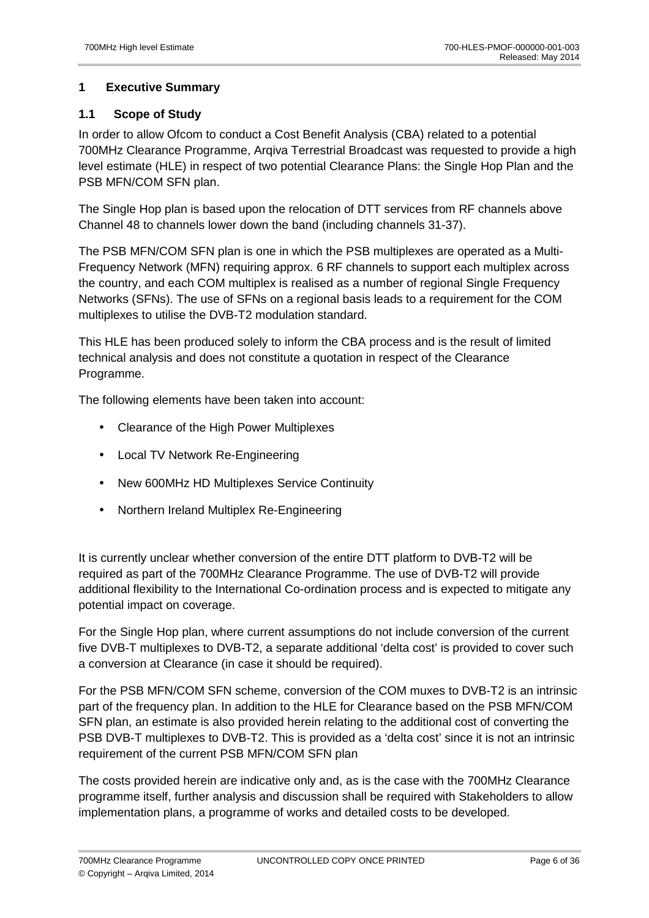# **1 Executive Summary**

# **1.1 Scope of Study**

In order to allow Ofcom to conduct a Cost Benefit Analysis (CBA) related to a potential 700MHz Clearance Programme, Arqiva Terrestrial Broadcast was requested to provide a high level estimate (HLE) in respect of two potential Clearance Plans: the Single Hop Plan and the PSB MFN/COM SFN plan.

The Single Hop plan is based upon the relocation of DTT services from RF channels above Channel 48 to channels lower down the band (including channels 31-37).

The PSB MFN/COM SFN plan is one in which the PSB multiplexes are operated as a Multi-Frequency Network (MFN) requiring approx. 6 RF channels to support each multiplex across the country, and each COM multiplex is realised as a number of regional Single Frequency Networks (SFNs). The use of SFNs on a regional basis leads to a requirement for the COM multiplexes to utilise the DVB-T2 modulation standard.

This HLE has been produced solely to inform the CBA process and is the result of limited technical analysis and does not constitute a quotation in respect of the Clearance Programme.

The following elements have been taken into account:

- Clearance of the High Power Multiplexes
- Local TV Network Re-Engineering
- New 600MHz HD Multiplexes Service Continuity
- Northern Ireland Multiplex Re-Engineering

It is currently unclear whether conversion of the entire DTT platform to DVB-T2 will be required as part of the 700MHz Clearance Programme. The use of DVB-T2 will provide additional flexibility to the International Co-ordination process and is expected to mitigate any potential impact on coverage.

For the Single Hop plan, where current assumptions do not include conversion of the current five DVB-T multiplexes to DVB-T2, a separate additional 'delta cost' is provided to cover such a conversion at Clearance (in case it should be required).

For the PSB MFN/COM SFN scheme, conversion of the COM muxes to DVB-T2 is an intrinsic part of the frequency plan. In addition to the HLE for Clearance based on the PSB MFN/COM SFN plan, an estimate is also provided herein relating to the additional cost of converting the PSB DVB-T multiplexes to DVB-T2. This is provided as a 'delta cost' since it is not an intrinsic requirement of the current PSB MFN/COM SFN plan

The costs provided herein are indicative only and, as is the case with the 700MHz Clearance programme itself, further analysis and discussion shall be required with Stakeholders to allow implementation plans, a programme of works and detailed costs to be developed.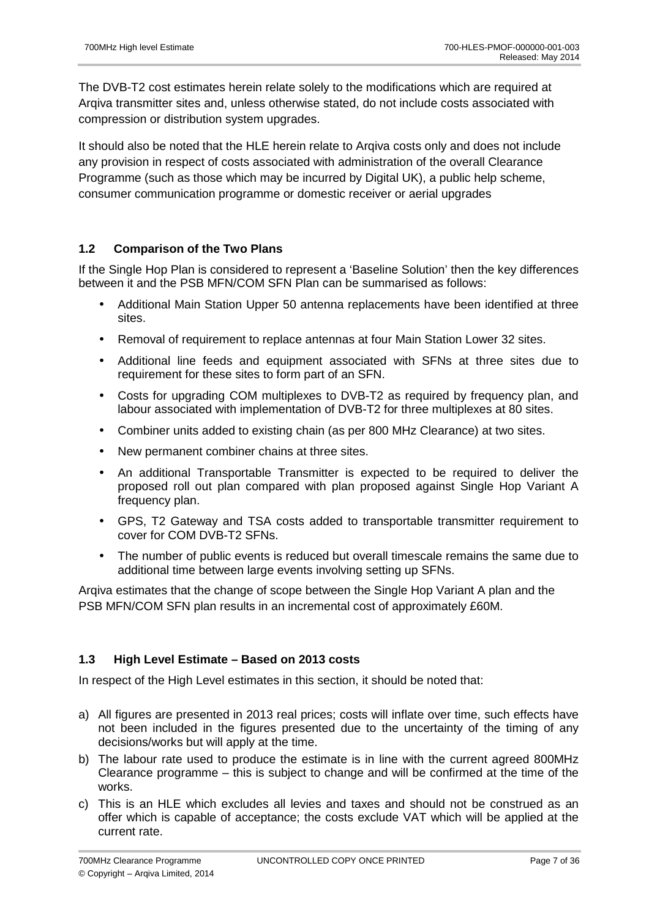The DVB-T2 cost estimates herein relate solely to the modifications which are required at Arqiva transmitter sites and, unless otherwise stated, do not include costs associated with compression or distribution system upgrades.

It should also be noted that the HLE herein relate to Arqiva costs only and does not include any provision in respect of costs associated with administration of the overall Clearance Programme (such as those which may be incurred by Digital UK), a public help scheme, consumer communication programme or domestic receiver or aerial upgrades

# **1.2 Comparison of the Two Plans**

If the Single Hop Plan is considered to represent a 'Baseline Solution' then the key differences between it and the PSB MFN/COM SFN Plan can be summarised as follows:

- Additional Main Station Upper 50 antenna replacements have been identified at three sites.
- Removal of requirement to replace antennas at four Main Station Lower 32 sites.
- Additional line feeds and equipment associated with SFNs at three sites due to requirement for these sites to form part of an SFN.
- Costs for upgrading COM multiplexes to DVB-T2 as required by frequency plan, and labour associated with implementation of DVB-T2 for three multiplexes at 80 sites.
- Combiner units added to existing chain (as per 800 MHz Clearance) at two sites.
- New permanent combiner chains at three sites.
- An additional Transportable Transmitter is expected to be required to deliver the proposed roll out plan compared with plan proposed against Single Hop Variant A frequency plan.
- GPS, T2 Gateway and TSA costs added to transportable transmitter requirement to cover for COM DVB-T2 SFNs.
- The number of public events is reduced but overall timescale remains the same due to additional time between large events involving setting up SFNs.

Arqiva estimates that the change of scope between the Single Hop Variant A plan and the PSB MFN/COM SFN plan results in an incremental cost of approximately £60M.

## **1.3 High Level Estimate – Based on 2013 costs**

In respect of the High Level estimates in this section, it should be noted that:

- a) All figures are presented in 2013 real prices; costs will inflate over time, such effects have not been included in the figures presented due to the uncertainty of the timing of any decisions/works but will apply at the time.
- b) The labour rate used to produce the estimate is in line with the current agreed 800MHz Clearance programme – this is subject to change and will be confirmed at the time of the works.
- c) This is an HLE which excludes all levies and taxes and should not be construed as an offer which is capable of acceptance; the costs exclude VAT which will be applied at the current rate.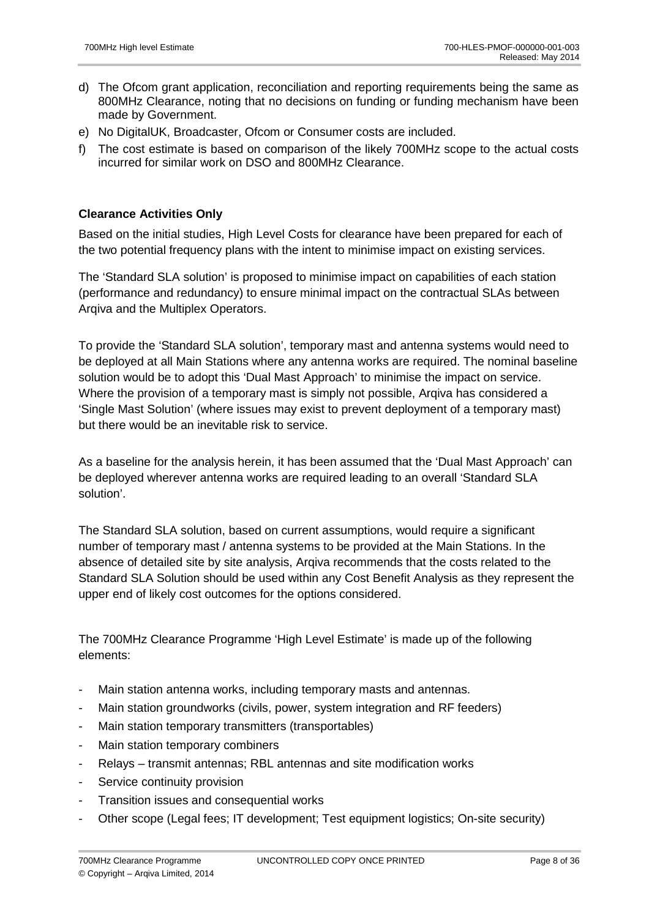- d) The Ofcom grant application, reconciliation and reporting requirements being the same as 800MHz Clearance, noting that no decisions on funding or funding mechanism have been made by Government.
- e) No DigitalUK, Broadcaster, Ofcom or Consumer costs are included.
- f) The cost estimate is based on comparison of the likely 700MHz scope to the actual costs incurred for similar work on DSO and 800MHz Clearance.

# **Clearance Activities Only**

Based on the initial studies, High Level Costs for clearance have been prepared for each of the two potential frequency plans with the intent to minimise impact on existing services.

The 'Standard SLA solution' is proposed to minimise impact on capabilities of each station (performance and redundancy) to ensure minimal impact on the contractual SLAs between Arqiva and the Multiplex Operators.

To provide the 'Standard SLA solution', temporary mast and antenna systems would need to be deployed at all Main Stations where any antenna works are required. The nominal baseline solution would be to adopt this 'Dual Mast Approach' to minimise the impact on service. Where the provision of a temporary mast is simply not possible, Arqiva has considered a 'Single Mast Solution' (where issues may exist to prevent deployment of a temporary mast) but there would be an inevitable risk to service.

As a baseline for the analysis herein, it has been assumed that the 'Dual Mast Approach' can be deployed wherever antenna works are required leading to an overall 'Standard SLA solution'.

The Standard SLA solution, based on current assumptions, would require a significant number of temporary mast / antenna systems to be provided at the Main Stations. In the absence of detailed site by site analysis, Arqiva recommends that the costs related to the Standard SLA Solution should be used within any Cost Benefit Analysis as they represent the upper end of likely cost outcomes for the options considered.

The 700MHz Clearance Programme 'High Level Estimate' is made up of the following elements:

- Main station antenna works, including temporary masts and antennas.
- Main station groundworks (civils, power, system integration and RF feeders)
- Main station temporary transmitters (transportables)
- Main station temporary combiners
- Relays transmit antennas; RBL antennas and site modification works
- Service continuity provision
- Transition issues and consequential works
- Other scope (Legal fees; IT development; Test equipment logistics; On-site security)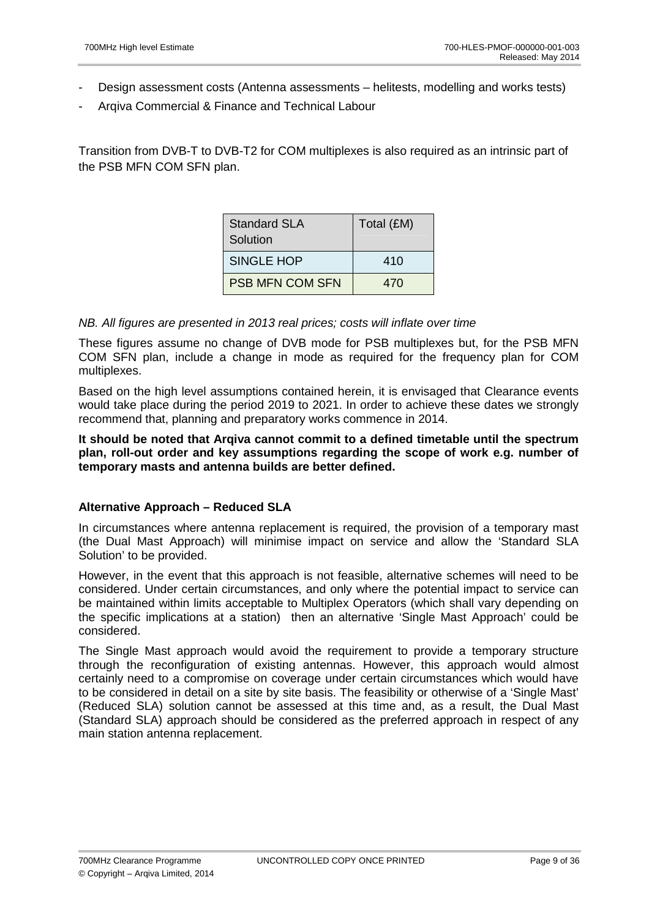- Design assessment costs (Antenna assessments helitests, modelling and works tests)
- Argiva Commercial & Finance and Technical Labour

Transition from DVB-T to DVB-T2 for COM multiplexes is also required as an intrinsic part of the PSB MFN COM SFN plan.

| <b>Standard SLA</b><br>Solution | Total (£M) |
|---------------------------------|------------|
| SINGLE HOP                      | 410        |
| <b>PSB MFN COM SFN</b>          | 470        |

### NB. All figures are presented in 2013 real prices; costs will inflate over time

These figures assume no change of DVB mode for PSB multiplexes but, for the PSB MFN COM SFN plan, include a change in mode as required for the frequency plan for COM multiplexes.

Based on the high level assumptions contained herein, it is envisaged that Clearance events would take place during the period 2019 to 2021. In order to achieve these dates we strongly recommend that, planning and preparatory works commence in 2014.

### **It should be noted that Arqiva cannot commit to a defined timetable until the spectrum plan, roll-out order and key assumptions regarding the scope of work e.g. number of temporary masts and antenna builds are better defined.**

## **Alternative Approach – Reduced SLA**

In circumstances where antenna replacement is required, the provision of a temporary mast (the Dual Mast Approach) will minimise impact on service and allow the 'Standard SLA Solution' to be provided.

However, in the event that this approach is not feasible, alternative schemes will need to be considered. Under certain circumstances, and only where the potential impact to service can be maintained within limits acceptable to Multiplex Operators (which shall vary depending on the specific implications at a station) then an alternative 'Single Mast Approach' could be considered.

The Single Mast approach would avoid the requirement to provide a temporary structure through the reconfiguration of existing antennas. However, this approach would almost certainly need to a compromise on coverage under certain circumstances which would have to be considered in detail on a site by site basis. The feasibility or otherwise of a 'Single Mast' (Reduced SLA) solution cannot be assessed at this time and, as a result, the Dual Mast (Standard SLA) approach should be considered as the preferred approach in respect of any main station antenna replacement.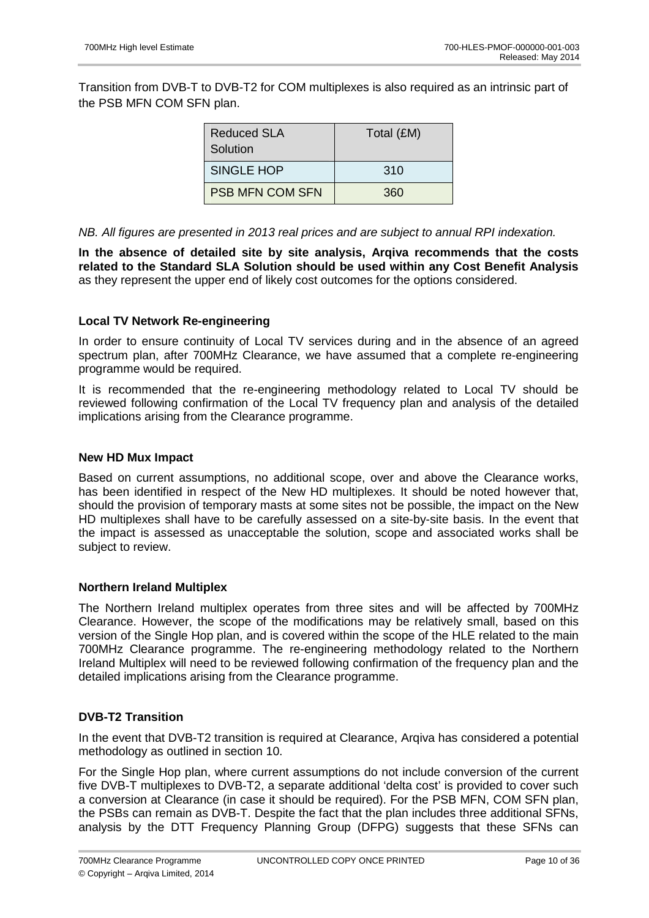Transition from DVB-T to DVB-T2 for COM multiplexes is also required as an intrinsic part of the PSB MFN COM SFN plan.

| Reduced SLA<br>Solution | Total (£M) |
|-------------------------|------------|
| <b>SINGLE HOP</b>       | 310        |
| <b>PSB MFN COM SFN</b>  | 360        |

NB. All figures are presented in 2013 real prices and are subject to annual RPI indexation.

**In the absence of detailed site by site analysis, Arqiva recommends that the costs related to the Standard SLA Solution should be used within any Cost Benefit Analysis**  as they represent the upper end of likely cost outcomes for the options considered.

### **Local TV Network Re-engineering**

In order to ensure continuity of Local TV services during and in the absence of an agreed spectrum plan, after 700MHz Clearance, we have assumed that a complete re-engineering programme would be required.

It is recommended that the re-engineering methodology related to Local TV should be reviewed following confirmation of the Local TV frequency plan and analysis of the detailed implications arising from the Clearance programme.

## **New HD Mux Impact**

Based on current assumptions, no additional scope, over and above the Clearance works, has been identified in respect of the New HD multiplexes. It should be noted however that, should the provision of temporary masts at some sites not be possible, the impact on the New HD multiplexes shall have to be carefully assessed on a site-by-site basis. In the event that the impact is assessed as unacceptable the solution, scope and associated works shall be subject to review.

### **Northern Ireland Multiplex**

The Northern Ireland multiplex operates from three sites and will be affected by 700MHz Clearance. However, the scope of the modifications may be relatively small, based on this version of the Single Hop plan, and is covered within the scope of the HLE related to the main 700MHz Clearance programme. The re-engineering methodology related to the Northern Ireland Multiplex will need to be reviewed following confirmation of the frequency plan and the detailed implications arising from the Clearance programme.

### **DVB-T2 Transition**

In the event that DVB-T2 transition is required at Clearance, Arqiva has considered a potential methodology as outlined in section 10.

For the Single Hop plan, where current assumptions do not include conversion of the current five DVB-T multiplexes to DVB-T2, a separate additional 'delta cost' is provided to cover such a conversion at Clearance (in case it should be required). For the PSB MFN, COM SFN plan, the PSBs can remain as DVB-T. Despite the fact that the plan includes three additional SFNs, analysis by the DTT Frequency Planning Group (DFPG) suggests that these SFNs can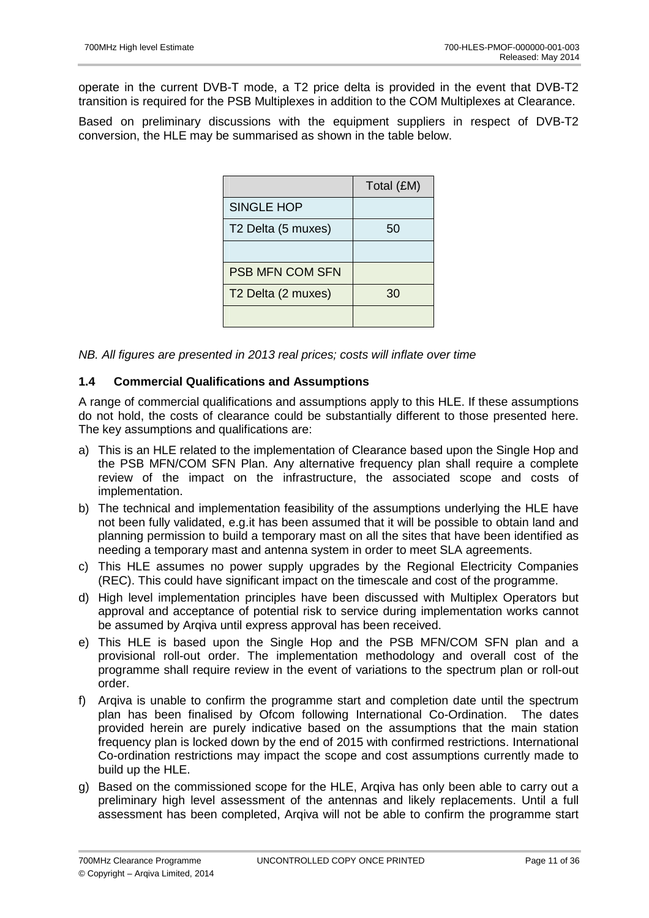operate in the current DVB-T mode, a T2 price delta is provided in the event that DVB-T2 transition is required for the PSB Multiplexes in addition to the COM Multiplexes at Clearance.

Based on preliminary discussions with the equipment suppliers in respect of DVB-T2 conversion, the HLE may be summarised as shown in the table below.

|                        | Total (£M) |
|------------------------|------------|
| <b>SINGLE HOP</b>      |            |
| T2 Delta (5 muxes)     | 50         |
|                        |            |
| <b>PSB MFN COM SFN</b> |            |
| T2 Delta (2 muxes)     | 30         |
|                        |            |

NB. All figures are presented in 2013 real prices; costs will inflate over time

## **1.4 Commercial Qualifications and Assumptions**

A range of commercial qualifications and assumptions apply to this HLE. If these assumptions do not hold, the costs of clearance could be substantially different to those presented here. The key assumptions and qualifications are:

- a) This is an HLE related to the implementation of Clearance based upon the Single Hop and the PSB MFN/COM SFN Plan. Any alternative frequency plan shall require a complete review of the impact on the infrastructure, the associated scope and costs of implementation.
- b) The technical and implementation feasibility of the assumptions underlying the HLE have not been fully validated, e.g.it has been assumed that it will be possible to obtain land and planning permission to build a temporary mast on all the sites that have been identified as needing a temporary mast and antenna system in order to meet SLA agreements.
- c) This HLE assumes no power supply upgrades by the Regional Electricity Companies (REC). This could have significant impact on the timescale and cost of the programme.
- d) High level implementation principles have been discussed with Multiplex Operators but approval and acceptance of potential risk to service during implementation works cannot be assumed by Arqiva until express approval has been received.
- e) This HLE is based upon the Single Hop and the PSB MFN/COM SFN plan and a provisional roll-out order. The implementation methodology and overall cost of the programme shall require review in the event of variations to the spectrum plan or roll-out order.
- f) Arqiva is unable to confirm the programme start and completion date until the spectrum plan has been finalised by Ofcom following International Co-Ordination. The dates provided herein are purely indicative based on the assumptions that the main station frequency plan is locked down by the end of 2015 with confirmed restrictions. International Co-ordination restrictions may impact the scope and cost assumptions currently made to build up the HLE.
- g) Based on the commissioned scope for the HLE, Arqiva has only been able to carry out a preliminary high level assessment of the antennas and likely replacements. Until a full assessment has been completed, Arqiva will not be able to confirm the programme start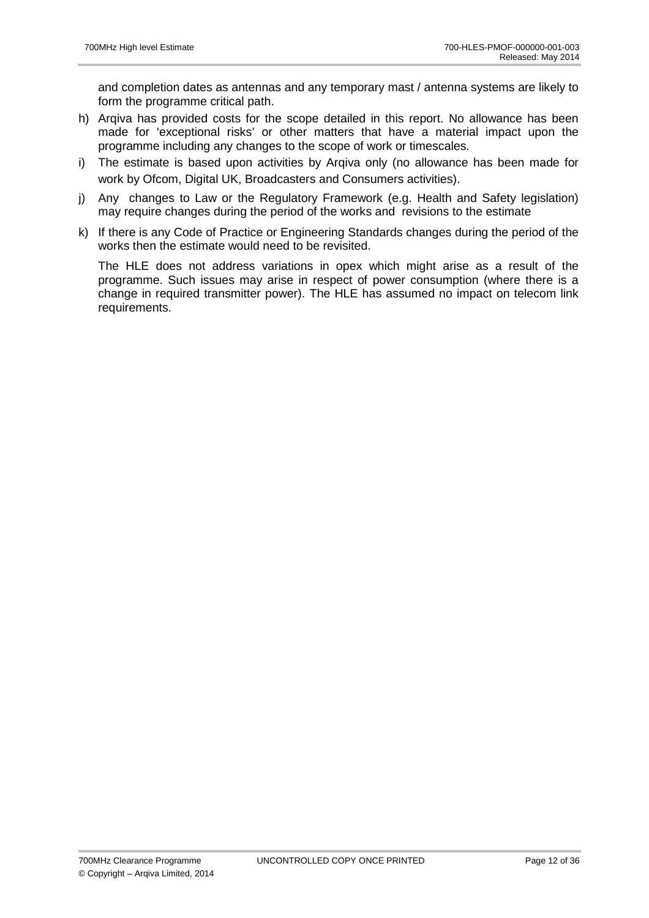and completion dates as antennas and any temporary mast / antenna systems are likely to form the programme critical path.

- h) Arqiva has provided costs for the scope detailed in this report. No allowance has been made for 'exceptional risks' or other matters that have a material impact upon the programme including any changes to the scope of work or timescales.
- i) The estimate is based upon activities by Arqiva only (no allowance has been made for work by Ofcom, Digital UK, Broadcasters and Consumers activities).
- j) Any changes to Law or the Regulatory Framework (e.g. Health and Safety legislation) may require changes during the period of the works and revisions to the estimate
- k) If there is any Code of Practice or Engineering Standards changes during the period of the works then the estimate would need to be revisited.

The HLE does not address variations in opex which might arise as a result of the programme. Such issues may arise in respect of power consumption (where there is a change in required transmitter power). The HLE has assumed no impact on telecom link requirements.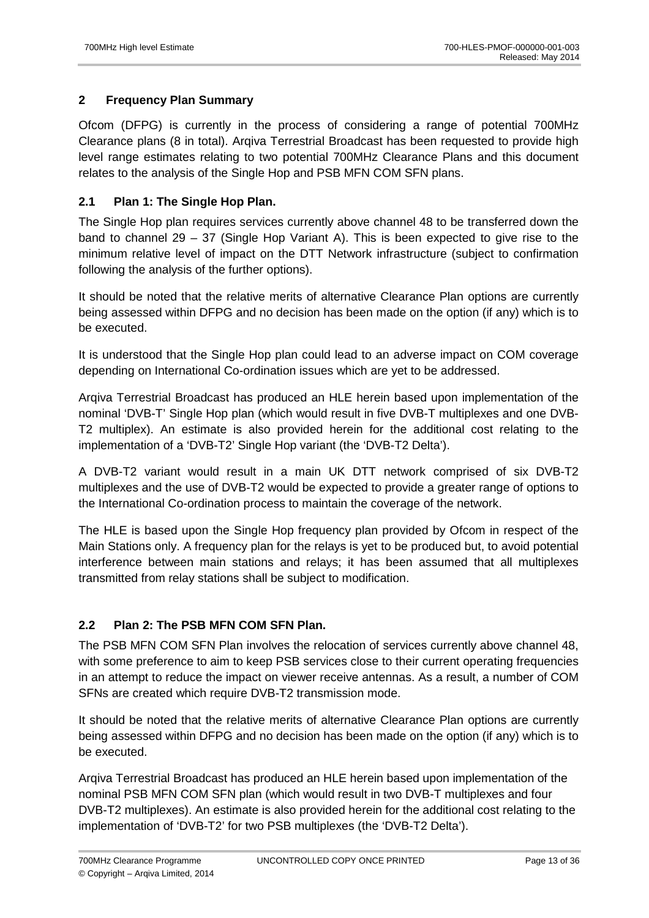# **2 Frequency Plan Summary**

Ofcom (DFPG) is currently in the process of considering a range of potential 700MHz Clearance plans (8 in total). Arqiva Terrestrial Broadcast has been requested to provide high level range estimates relating to two potential 700MHz Clearance Plans and this document relates to the analysis of the Single Hop and PSB MFN COM SFN plans.

# **2.1 Plan 1: The Single Hop Plan.**

The Single Hop plan requires services currently above channel 48 to be transferred down the band to channel 29 – 37 (Single Hop Variant A). This is been expected to give rise to the minimum relative level of impact on the DTT Network infrastructure (subject to confirmation following the analysis of the further options).

It should be noted that the relative merits of alternative Clearance Plan options are currently being assessed within DFPG and no decision has been made on the option (if any) which is to be executed.

It is understood that the Single Hop plan could lead to an adverse impact on COM coverage depending on International Co-ordination issues which are yet to be addressed.

Arqiva Terrestrial Broadcast has produced an HLE herein based upon implementation of the nominal 'DVB-T' Single Hop plan (which would result in five DVB-T multiplexes and one DVB-T2 multiplex). An estimate is also provided herein for the additional cost relating to the implementation of a 'DVB-T2' Single Hop variant (the 'DVB-T2 Delta').

A DVB-T2 variant would result in a main UK DTT network comprised of six DVB-T2 multiplexes and the use of DVB-T2 would be expected to provide a greater range of options to the International Co-ordination process to maintain the coverage of the network.

The HLE is based upon the Single Hop frequency plan provided by Ofcom in respect of the Main Stations only. A frequency plan for the relays is yet to be produced but, to avoid potential interference between main stations and relays; it has been assumed that all multiplexes transmitted from relay stations shall be subject to modification.

# **2.2 Plan 2: The PSB MFN COM SFN Plan.**

The PSB MFN COM SFN Plan involves the relocation of services currently above channel 48, with some preference to aim to keep PSB services close to their current operating frequencies in an attempt to reduce the impact on viewer receive antennas. As a result, a number of COM SFNs are created which require DVB-T2 transmission mode.

It should be noted that the relative merits of alternative Clearance Plan options are currently being assessed within DFPG and no decision has been made on the option (if any) which is to be executed.

Arqiva Terrestrial Broadcast has produced an HLE herein based upon implementation of the nominal PSB MFN COM SFN plan (which would result in two DVB-T multiplexes and four DVB-T2 multiplexes). An estimate is also provided herein for the additional cost relating to the implementation of 'DVB-T2' for two PSB multiplexes (the 'DVB-T2 Delta').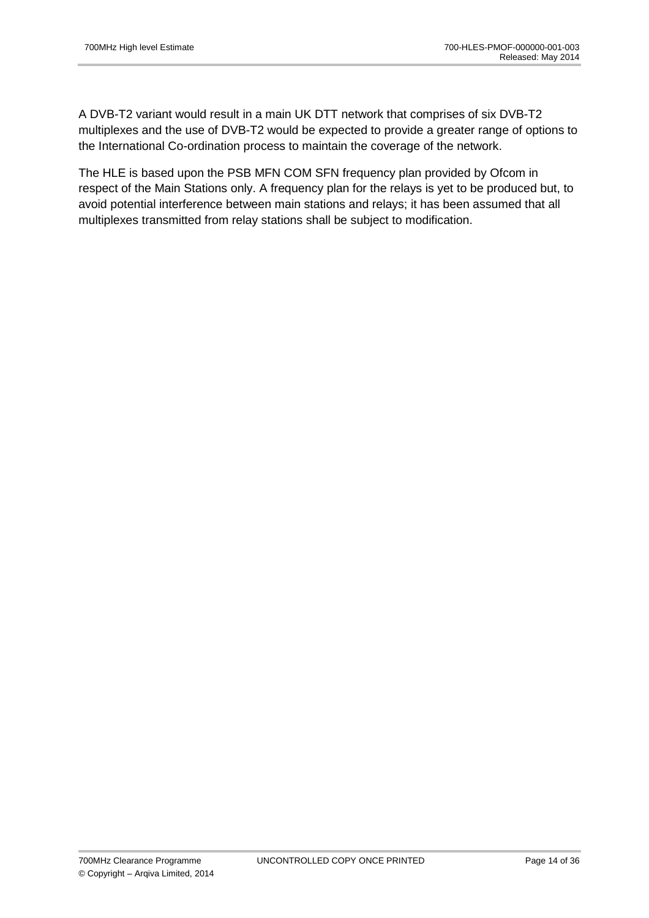A DVB-T2 variant would result in a main UK DTT network that comprises of six DVB-T2 multiplexes and the use of DVB-T2 would be expected to provide a greater range of options to the International Co-ordination process to maintain the coverage of the network.

The HLE is based upon the PSB MFN COM SFN frequency plan provided by Ofcom in respect of the Main Stations only. A frequency plan for the relays is yet to be produced but, to avoid potential interference between main stations and relays; it has been assumed that all multiplexes transmitted from relay stations shall be subject to modification.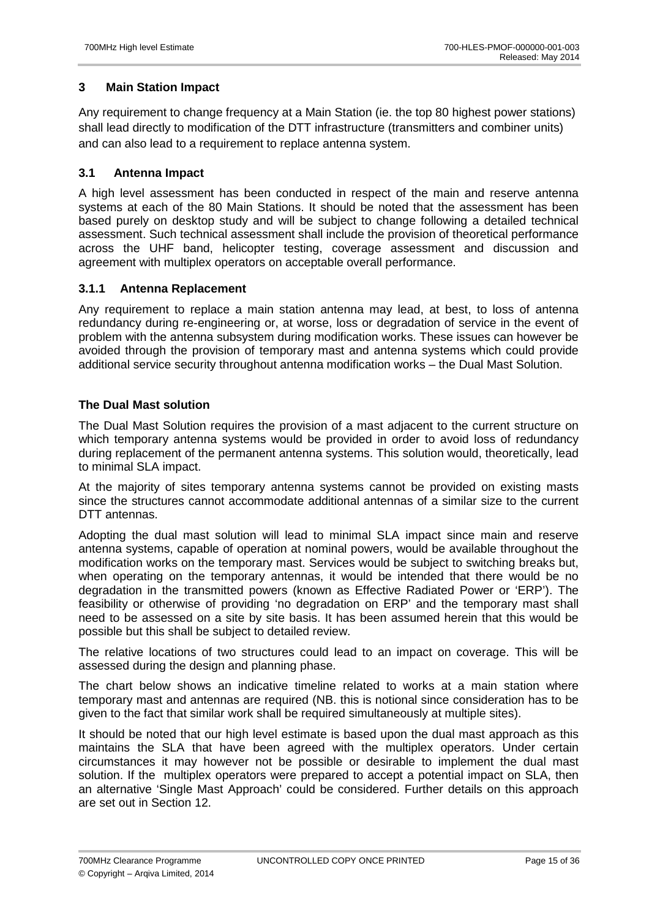# **3 Main Station Impact**

Any requirement to change frequency at a Main Station (ie. the top 80 highest power stations) shall lead directly to modification of the DTT infrastructure (transmitters and combiner units) and can also lead to a requirement to replace antenna system.

### **3.1 Antenna Impact**

A high level assessment has been conducted in respect of the main and reserve antenna systems at each of the 80 Main Stations. It should be noted that the assessment has been based purely on desktop study and will be subject to change following a detailed technical assessment. Such technical assessment shall include the provision of theoretical performance across the UHF band, helicopter testing, coverage assessment and discussion and agreement with multiplex operators on acceptable overall performance.

## **3.1.1 Antenna Replacement**

Any requirement to replace a main station antenna may lead, at best, to loss of antenna redundancy during re-engineering or, at worse, loss or degradation of service in the event of problem with the antenna subsystem during modification works. These issues can however be avoided through the provision of temporary mast and antenna systems which could provide additional service security throughout antenna modification works – the Dual Mast Solution.

## **The Dual Mast solution**

The Dual Mast Solution requires the provision of a mast adjacent to the current structure on which temporary antenna systems would be provided in order to avoid loss of redundancy during replacement of the permanent antenna systems. This solution would, theoretically, lead to minimal SLA impact.

At the majority of sites temporary antenna systems cannot be provided on existing masts since the structures cannot accommodate additional antennas of a similar size to the current DTT antennas.

Adopting the dual mast solution will lead to minimal SLA impact since main and reserve antenna systems, capable of operation at nominal powers, would be available throughout the modification works on the temporary mast. Services would be subject to switching breaks but, when operating on the temporary antennas, it would be intended that there would be no degradation in the transmitted powers (known as Effective Radiated Power or 'ERP'). The feasibility or otherwise of providing 'no degradation on ERP' and the temporary mast shall need to be assessed on a site by site basis. It has been assumed herein that this would be possible but this shall be subject to detailed review.

The relative locations of two structures could lead to an impact on coverage. This will be assessed during the design and planning phase.

The chart below shows an indicative timeline related to works at a main station where temporary mast and antennas are required (NB. this is notional since consideration has to be given to the fact that similar work shall be required simultaneously at multiple sites).

It should be noted that our high level estimate is based upon the dual mast approach as this maintains the SLA that have been agreed with the multiplex operators. Under certain circumstances it may however not be possible or desirable to implement the dual mast solution. If the multiplex operators were prepared to accept a potential impact on SLA, then an alternative 'Single Mast Approach' could be considered. Further details on this approach are set out in Section 12.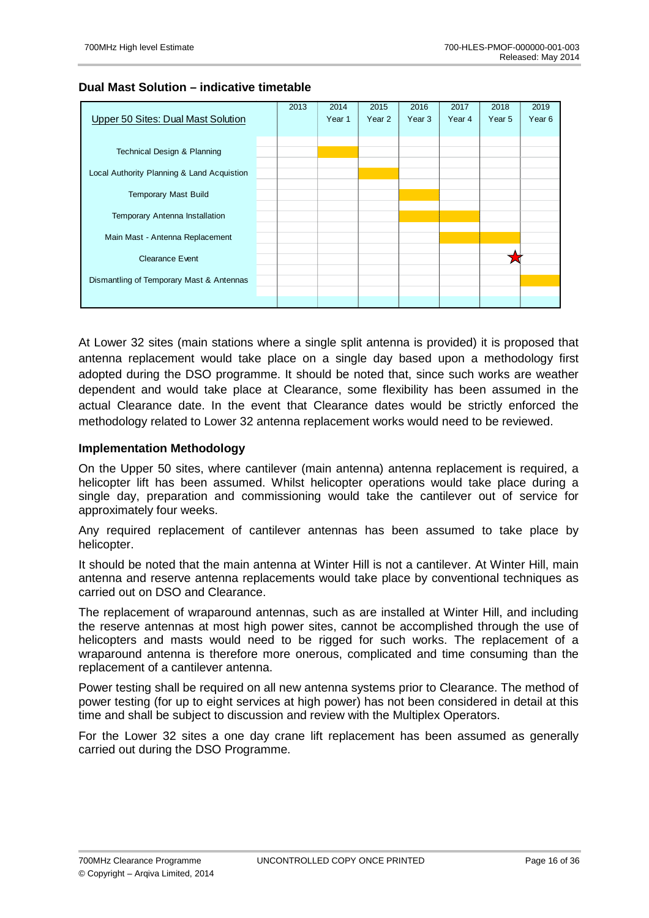### **Dual Mast Solution – indicative timetable**



At Lower 32 sites (main stations where a single split antenna is provided) it is proposed that antenna replacement would take place on a single day based upon a methodology first adopted during the DSO programme. It should be noted that, since such works are weather dependent and would take place at Clearance, some flexibility has been assumed in the actual Clearance date. In the event that Clearance dates would be strictly enforced the methodology related to Lower 32 antenna replacement works would need to be reviewed.

### **Implementation Methodology**

On the Upper 50 sites, where cantilever (main antenna) antenna replacement is required, a helicopter lift has been assumed. Whilst helicopter operations would take place during a single day, preparation and commissioning would take the cantilever out of service for approximately four weeks.

Any required replacement of cantilever antennas has been assumed to take place by helicopter.

It should be noted that the main antenna at Winter Hill is not a cantilever. At Winter Hill, main antenna and reserve antenna replacements would take place by conventional techniques as carried out on DSO and Clearance.

The replacement of wraparound antennas, such as are installed at Winter Hill, and including the reserve antennas at most high power sites, cannot be accomplished through the use of helicopters and masts would need to be rigged for such works. The replacement of a wraparound antenna is therefore more onerous, complicated and time consuming than the replacement of a cantilever antenna.

Power testing shall be required on all new antenna systems prior to Clearance. The method of power testing (for up to eight services at high power) has not been considered in detail at this time and shall be subject to discussion and review with the Multiplex Operators.

For the Lower 32 sites a one day crane lift replacement has been assumed as generally carried out during the DSO Programme.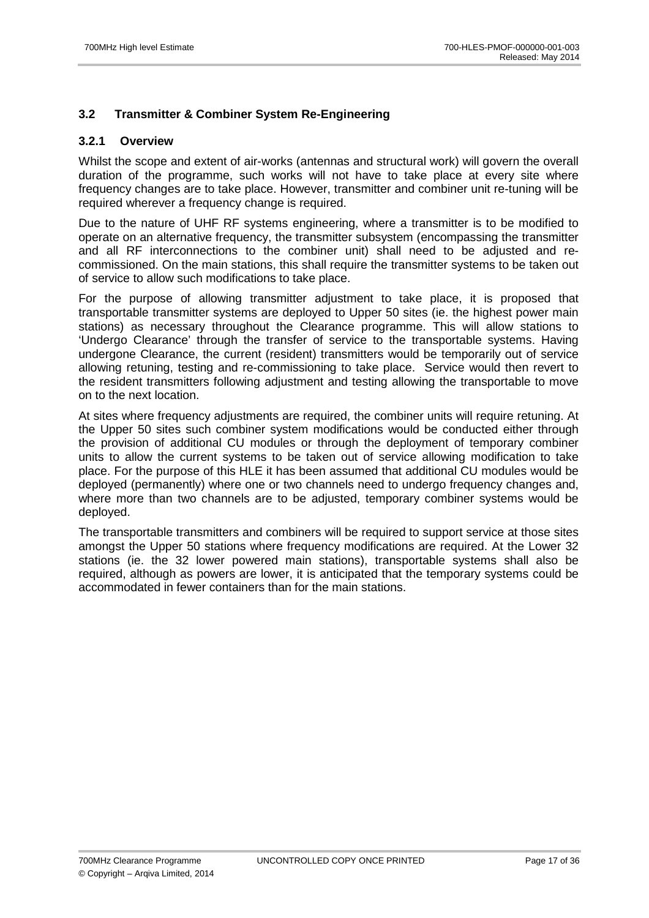## **3.2 Transmitter & Combiner System Re-Engineering**

### **3.2.1 Overview**

Whilst the scope and extent of air-works (antennas and structural work) will govern the overall duration of the programme, such works will not have to take place at every site where frequency changes are to take place. However, transmitter and combiner unit re-tuning will be required wherever a frequency change is required.

Due to the nature of UHF RF systems engineering, where a transmitter is to be modified to operate on an alternative frequency, the transmitter subsystem (encompassing the transmitter and all RF interconnections to the combiner unit) shall need to be adjusted and recommissioned. On the main stations, this shall require the transmitter systems to be taken out of service to allow such modifications to take place.

For the purpose of allowing transmitter adjustment to take place, it is proposed that transportable transmitter systems are deployed to Upper 50 sites (ie. the highest power main stations) as necessary throughout the Clearance programme. This will allow stations to 'Undergo Clearance' through the transfer of service to the transportable systems. Having undergone Clearance, the current (resident) transmitters would be temporarily out of service allowing retuning, testing and re-commissioning to take place. Service would then revert to the resident transmitters following adjustment and testing allowing the transportable to move on to the next location.

At sites where frequency adjustments are required, the combiner units will require retuning. At the Upper 50 sites such combiner system modifications would be conducted either through the provision of additional CU modules or through the deployment of temporary combiner units to allow the current systems to be taken out of service allowing modification to take place. For the purpose of this HLE it has been assumed that additional CU modules would be deployed (permanently) where one or two channels need to undergo frequency changes and, where more than two channels are to be adjusted, temporary combiner systems would be deployed.

The transportable transmitters and combiners will be required to support service at those sites amongst the Upper 50 stations where frequency modifications are required. At the Lower 32 stations (ie. the 32 lower powered main stations), transportable systems shall also be required, although as powers are lower, it is anticipated that the temporary systems could be accommodated in fewer containers than for the main stations.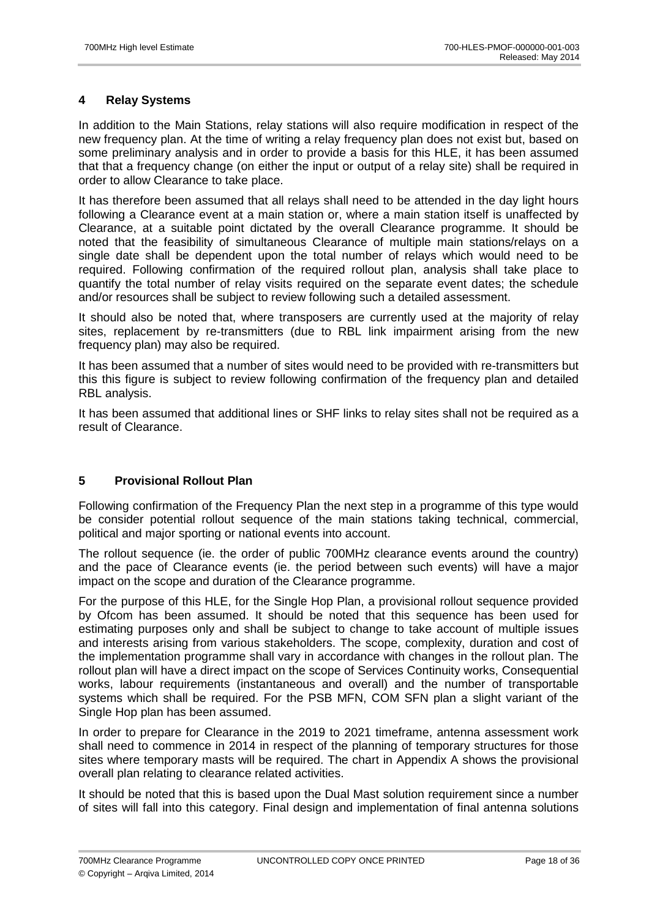## **4 Relay Systems**

In addition to the Main Stations, relay stations will also require modification in respect of the new frequency plan. At the time of writing a relay frequency plan does not exist but, based on some preliminary analysis and in order to provide a basis for this HLE, it has been assumed that that a frequency change (on either the input or output of a relay site) shall be required in order to allow Clearance to take place.

It has therefore been assumed that all relays shall need to be attended in the day light hours following a Clearance event at a main station or, where a main station itself is unaffected by Clearance, at a suitable point dictated by the overall Clearance programme. It should be noted that the feasibility of simultaneous Clearance of multiple main stations/relays on a single date shall be dependent upon the total number of relays which would need to be required. Following confirmation of the required rollout plan, analysis shall take place to quantify the total number of relay visits required on the separate event dates; the schedule and/or resources shall be subject to review following such a detailed assessment.

It should also be noted that, where transposers are currently used at the majority of relay sites, replacement by re-transmitters (due to RBL link impairment arising from the new frequency plan) may also be required.

It has been assumed that a number of sites would need to be provided with re-transmitters but this this figure is subject to review following confirmation of the frequency plan and detailed RBL analysis.

It has been assumed that additional lines or SHF links to relay sites shall not be required as a result of Clearance.

# **5 Provisional Rollout Plan**

Following confirmation of the Frequency Plan the next step in a programme of this type would be consider potential rollout sequence of the main stations taking technical, commercial, political and major sporting or national events into account.

The rollout sequence (ie. the order of public 700MHz clearance events around the country) and the pace of Clearance events (ie. the period between such events) will have a major impact on the scope and duration of the Clearance programme.

For the purpose of this HLE, for the Single Hop Plan, a provisional rollout sequence provided by Ofcom has been assumed. It should be noted that this sequence has been used for estimating purposes only and shall be subject to change to take account of multiple issues and interests arising from various stakeholders. The scope, complexity, duration and cost of the implementation programme shall vary in accordance with changes in the rollout plan. The rollout plan will have a direct impact on the scope of Services Continuity works, Consequential works, labour requirements (instantaneous and overall) and the number of transportable systems which shall be required. For the PSB MFN, COM SFN plan a slight variant of the Single Hop plan has been assumed.

In order to prepare for Clearance in the 2019 to 2021 timeframe, antenna assessment work shall need to commence in 2014 in respect of the planning of temporary structures for those sites where temporary masts will be required. The chart in Appendix A shows the provisional overall plan relating to clearance related activities.

It should be noted that this is based upon the Dual Mast solution requirement since a number of sites will fall into this category. Final design and implementation of final antenna solutions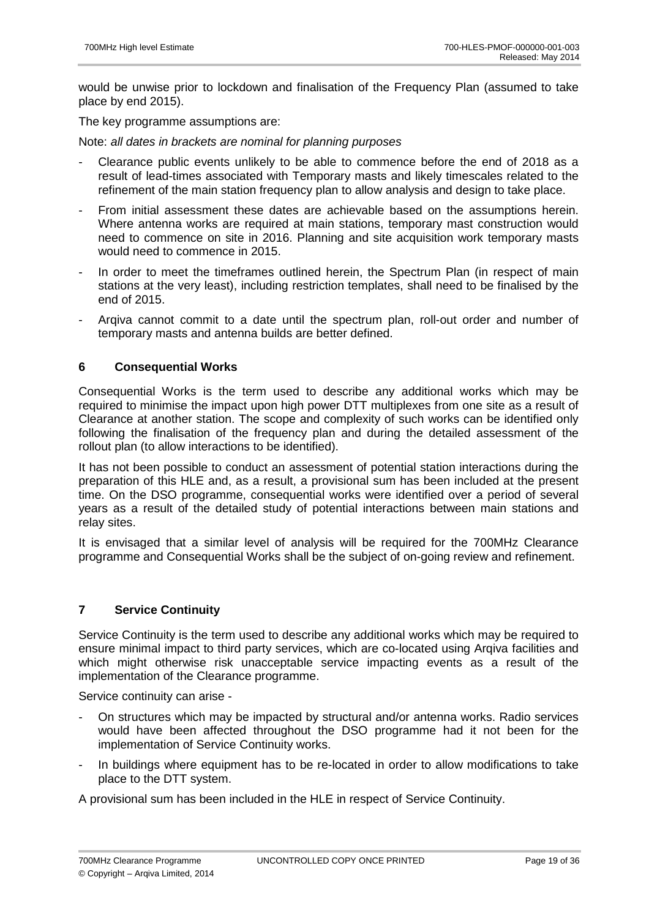would be unwise prior to lockdown and finalisation of the Frequency Plan (assumed to take place by end 2015).

The key programme assumptions are:

Note: all dates in brackets are nominal for planning purposes

- Clearance public events unlikely to be able to commence before the end of 2018 as a result of lead-times associated with Temporary masts and likely timescales related to the refinement of the main station frequency plan to allow analysis and design to take place.
- From initial assessment these dates are achievable based on the assumptions herein. Where antenna works are required at main stations, temporary mast construction would need to commence on site in 2016. Planning and site acquisition work temporary masts would need to commence in 2015.
- In order to meet the timeframes outlined herein, the Spectrum Plan (in respect of main stations at the very least), including restriction templates, shall need to be finalised by the end of 2015.
- Arqiva cannot commit to a date until the spectrum plan, roll-out order and number of temporary masts and antenna builds are better defined.

### **6 Consequential Works**

Consequential Works is the term used to describe any additional works which may be required to minimise the impact upon high power DTT multiplexes from one site as a result of Clearance at another station. The scope and complexity of such works can be identified only following the finalisation of the frequency plan and during the detailed assessment of the rollout plan (to allow interactions to be identified).

It has not been possible to conduct an assessment of potential station interactions during the preparation of this HLE and, as a result, a provisional sum has been included at the present time. On the DSO programme, consequential works were identified over a period of several years as a result of the detailed study of potential interactions between main stations and relay sites.

It is envisaged that a similar level of analysis will be required for the 700MHz Clearance programme and Consequential Works shall be the subject of on-going review and refinement.

## **7 Service Continuity**

Service Continuity is the term used to describe any additional works which may be required to ensure minimal impact to third party services, which are co-located using Arqiva facilities and which might otherwise risk unacceptable service impacting events as a result of the implementation of the Clearance programme.

Service continuity can arise -

- On structures which may be impacted by structural and/or antenna works. Radio services would have been affected throughout the DSO programme had it not been for the implementation of Service Continuity works.
- In buildings where equipment has to be re-located in order to allow modifications to take place to the DTT system.

A provisional sum has been included in the HLE in respect of Service Continuity.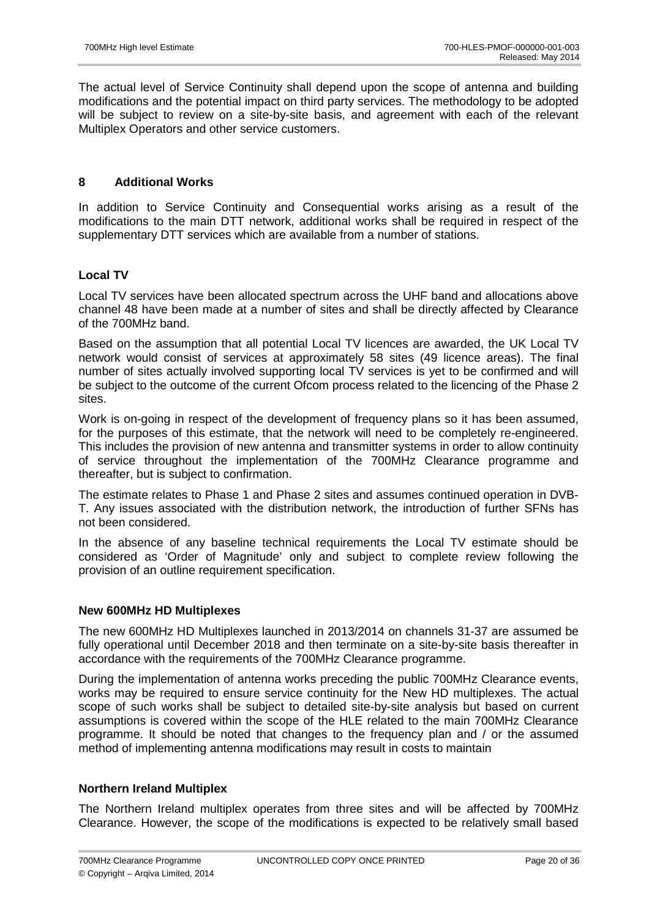The actual level of Service Continuity shall depend upon the scope of antenna and building modifications and the potential impact on third party services. The methodology to be adopted will be subject to review on a site-by-site basis, and agreement with each of the relevant Multiplex Operators and other service customers.

## **8 Additional Works**

In addition to Service Continuity and Consequential works arising as a result of the modifications to the main DTT network, additional works shall be required in respect of the supplementary DTT services which are available from a number of stations.

## **Local TV**

Local TV services have been allocated spectrum across the UHF band and allocations above channel 48 have been made at a number of sites and shall be directly affected by Clearance of the 700MHz band.

Based on the assumption that all potential Local TV licences are awarded, the UK Local TV network would consist of services at approximately 58 sites (49 licence areas). The final number of sites actually involved supporting local TV services is yet to be confirmed and will be subject to the outcome of the current Ofcom process related to the licencing of the Phase 2 sites.

Work is on-going in respect of the development of frequency plans so it has been assumed, for the purposes of this estimate, that the network will need to be completely re-engineered. This includes the provision of new antenna and transmitter systems in order to allow continuity of service throughout the implementation of the 700MHz Clearance programme and thereafter, but is subject to confirmation.

The estimate relates to Phase 1 and Phase 2 sites and assumes continued operation in DVB-T. Any issues associated with the distribution network, the introduction of further SFNs has not been considered.

In the absence of any baseline technical requirements the Local TV estimate should be considered as 'Order of Magnitude' only and subject to complete review following the provision of an outline requirement specification.

### **New 600MHz HD Multiplexes**

The new 600MHz HD Multiplexes launched in 2013/2014 on channels 31-37 are assumed be fully operational until December 2018 and then terminate on a site-by-site basis thereafter in accordance with the requirements of the 700MHz Clearance programme.

During the implementation of antenna works preceding the public 700MHz Clearance events, works may be required to ensure service continuity for the New HD multiplexes. The actual scope of such works shall be subject to detailed site-by-site analysis but based on current assumptions is covered within the scope of the HLE related to the main 700MHz Clearance programme. It should be noted that changes to the frequency plan and / or the assumed method of implementing antenna modifications may result in costs to maintain

### **Northern Ireland Multiplex**

The Northern Ireland multiplex operates from three sites and will be affected by 700MHz Clearance. However, the scope of the modifications is expected to be relatively small based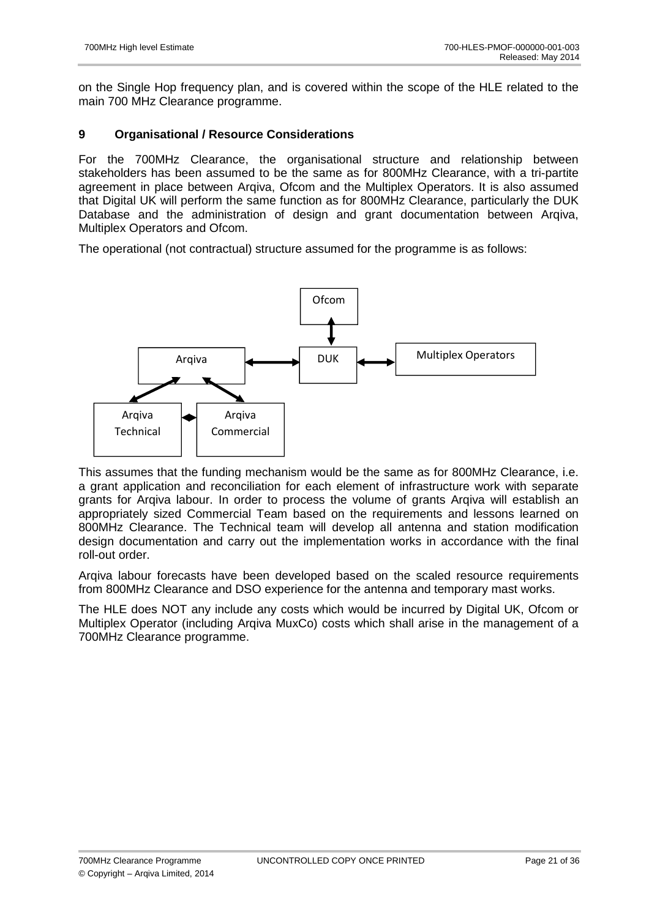on the Single Hop frequency plan, and is covered within the scope of the HLE related to the main 700 MHz Clearance programme.

## **9 Organisational / Resource Considerations**

For the 700MHz Clearance, the organisational structure and relationship between stakeholders has been assumed to be the same as for 800MHz Clearance, with a tri-partite agreement in place between Arqiva, Ofcom and the Multiplex Operators. It is also assumed that Digital UK will perform the same function as for 800MHz Clearance, particularly the DUK Database and the administration of design and grant documentation between Arqiva, Multiplex Operators and Ofcom.

The operational (not contractual) structure assumed for the programme is as follows:



This assumes that the funding mechanism would be the same as for 800MHz Clearance, i.e. a grant application and reconciliation for each element of infrastructure work with separate grants for Arqiva labour. In order to process the volume of grants Arqiva will establish an appropriately sized Commercial Team based on the requirements and lessons learned on 800MHz Clearance. The Technical team will develop all antenna and station modification design documentation and carry out the implementation works in accordance with the final roll-out order.

Arqiva labour forecasts have been developed based on the scaled resource requirements from 800MHz Clearance and DSO experience for the antenna and temporary mast works.

The HLE does NOT any include any costs which would be incurred by Digital UK, Ofcom or Multiplex Operator (including Arqiva MuxCo) costs which shall arise in the management of a 700MHz Clearance programme.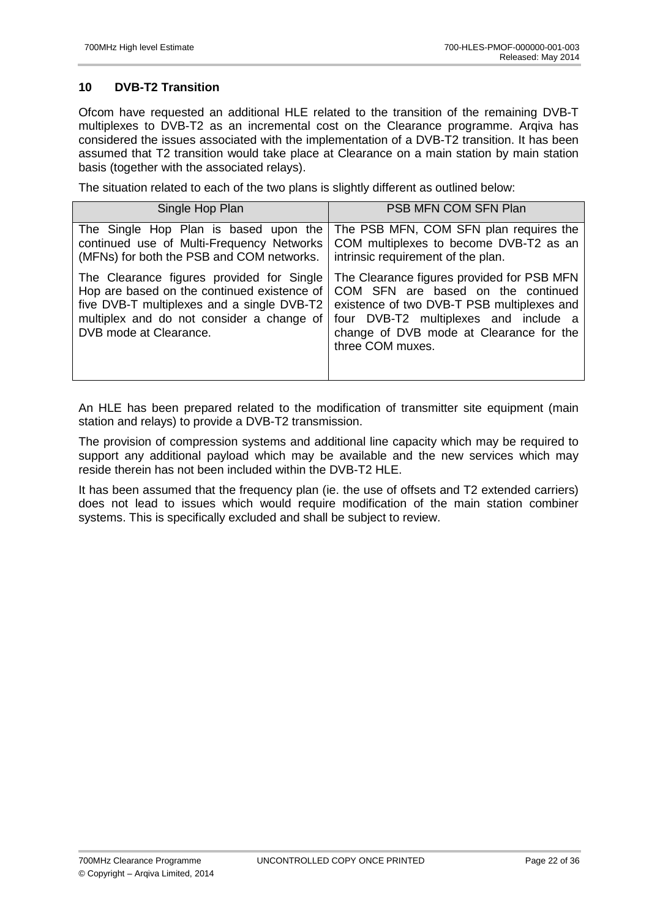# **10 DVB-T2 Transition**

Ofcom have requested an additional HLE related to the transition of the remaining DVB-T multiplexes to DVB-T2 as an incremental cost on the Clearance programme. Arqiva has considered the issues associated with the implementation of a DVB-T2 transition. It has been assumed that T2 transition would take place at Clearance on a main station by main station basis (together with the associated relays).

The situation related to each of the two plans is slightly different as outlined below:

| Single Hop Plan                                                                                                                                                                                               | PSB MFN COM SFN Plan                                                                                                                                                                                                                   |
|---------------------------------------------------------------------------------------------------------------------------------------------------------------------------------------------------------------|----------------------------------------------------------------------------------------------------------------------------------------------------------------------------------------------------------------------------------------|
| The Single Hop Plan is based upon the<br>continued use of Multi-Frequency Networks<br>(MFNs) for both the PSB and COM networks.                                                                               | The PSB MFN, COM SFN plan requires the<br>COM multiplexes to become DVB-T2 as an<br>intrinsic requirement of the plan.                                                                                                                 |
| The Clearance figures provided for Single<br>Hop are based on the continued existence of<br>five DVB-T multiplexes and a single DVB-T2<br>multiplex and do not consider a change of<br>DVB mode at Clearance. | The Clearance figures provided for PSB MFN<br>COM SFN are based on the continued<br>existence of two DVB-T PSB multiplexes and<br>four DVB-T2 multiplexes and include a<br>change of DVB mode at Clearance for the<br>three COM muxes. |

An HLE has been prepared related to the modification of transmitter site equipment (main station and relays) to provide a DVB-T2 transmission.

The provision of compression systems and additional line capacity which may be required to support any additional payload which may be available and the new services which may reside therein has not been included within the DVB-T2 HLE.

It has been assumed that the frequency plan (ie. the use of offsets and T2 extended carriers) does not lead to issues which would require modification of the main station combiner systems. This is specifically excluded and shall be subject to review.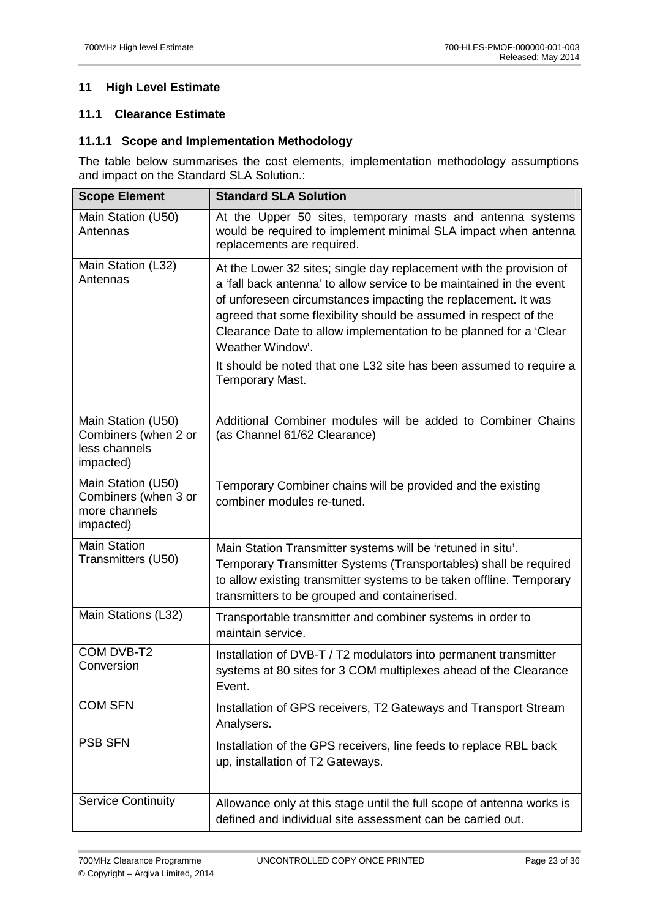# **11 High Level Estimate**

# **11.1 Clearance Estimate**

## **11.1.1 Scope and Implementation Methodology**

The table below summarises the cost elements, implementation methodology assumptions and impact on the Standard SLA Solution.:

| <b>Scope Element</b>                                                     | <b>Standard SLA Solution</b>                                                                                                                                                                                                                                                                                                                                                                                                                                       |  |  |
|--------------------------------------------------------------------------|--------------------------------------------------------------------------------------------------------------------------------------------------------------------------------------------------------------------------------------------------------------------------------------------------------------------------------------------------------------------------------------------------------------------------------------------------------------------|--|--|
| Main Station (U50)<br>Antennas                                           | At the Upper 50 sites, temporary masts and antenna systems<br>would be required to implement minimal SLA impact when antenna<br>replacements are required.                                                                                                                                                                                                                                                                                                         |  |  |
| Main Station (L32)<br>Antennas                                           | At the Lower 32 sites; single day replacement with the provision of<br>a 'fall back antenna' to allow service to be maintained in the event<br>of unforeseen circumstances impacting the replacement. It was<br>agreed that some flexibility should be assumed in respect of the<br>Clearance Date to allow implementation to be planned for a 'Clear<br>Weather Window'.<br>It should be noted that one L32 site has been assumed to require a<br>Temporary Mast. |  |  |
| Main Station (U50)<br>Combiners (when 2 or<br>less channels<br>impacted) | Additional Combiner modules will be added to Combiner Chains<br>(as Channel 61/62 Clearance)                                                                                                                                                                                                                                                                                                                                                                       |  |  |
| Main Station (U50)<br>Combiners (when 3 or<br>more channels<br>impacted) | Temporary Combiner chains will be provided and the existing<br>combiner modules re-tuned.                                                                                                                                                                                                                                                                                                                                                                          |  |  |
| <b>Main Station</b><br>Transmitters (U50)                                | Main Station Transmitter systems will be 'retuned in situ'.<br>Temporary Transmitter Systems (Transportables) shall be required<br>to allow existing transmitter systems to be taken offline. Temporary<br>transmitters to be grouped and containerised.                                                                                                                                                                                                           |  |  |
| Main Stations (L32)                                                      | Transportable transmitter and combiner systems in order to<br>maintain service.                                                                                                                                                                                                                                                                                                                                                                                    |  |  |
| COM DVB-T2<br>Conversion                                                 | Installation of DVB-T / T2 modulators into permanent transmitter<br>systems at 80 sites for 3 COM multiplexes ahead of the Clearance<br>Event.                                                                                                                                                                                                                                                                                                                     |  |  |
| <b>COM SFN</b>                                                           | Installation of GPS receivers, T2 Gateways and Transport Stream<br>Analysers.                                                                                                                                                                                                                                                                                                                                                                                      |  |  |
| <b>PSB SFN</b>                                                           | Installation of the GPS receivers, line feeds to replace RBL back<br>up, installation of T2 Gateways.                                                                                                                                                                                                                                                                                                                                                              |  |  |
| <b>Service Continuity</b>                                                | Allowance only at this stage until the full scope of antenna works is<br>defined and individual site assessment can be carried out.                                                                                                                                                                                                                                                                                                                                |  |  |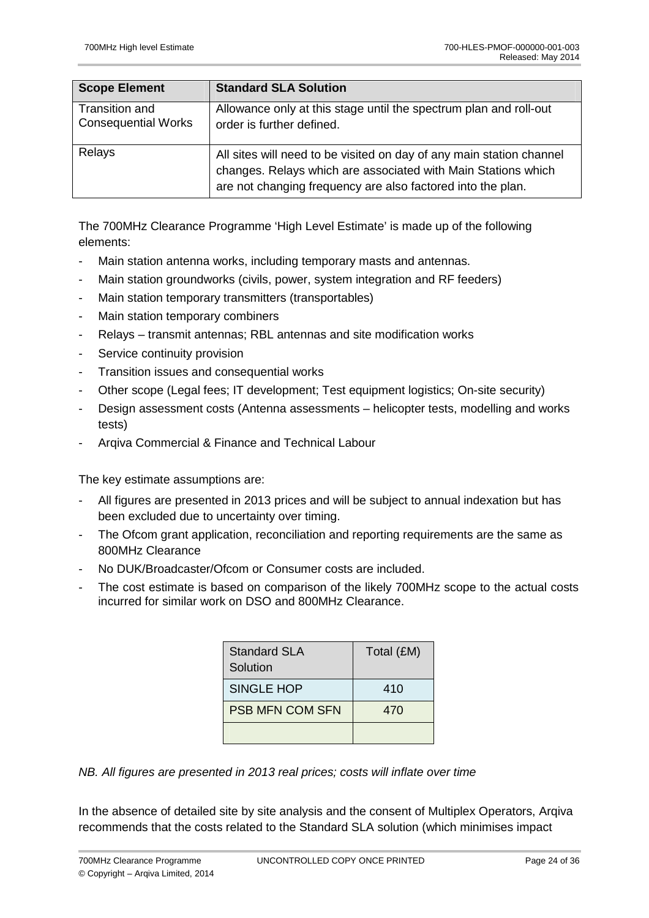| <b>Scope Element</b>                         | <b>Standard SLA Solution</b>                                                                                                                                                                         |
|----------------------------------------------|------------------------------------------------------------------------------------------------------------------------------------------------------------------------------------------------------|
| Transition and<br><b>Consequential Works</b> | Allowance only at this stage until the spectrum plan and roll-out<br>order is further defined.                                                                                                       |
| Relays                                       | All sites will need to be visited on day of any main station channel<br>changes. Relays which are associated with Main Stations which<br>are not changing frequency are also factored into the plan. |

The 700MHz Clearance Programme 'High Level Estimate' is made up of the following elements:

- Main station antenna works, including temporary masts and antennas.
- Main station groundworks (civils, power, system integration and RF feeders)
- Main station temporary transmitters (transportables)
- Main station temporary combiners
- Relays transmit antennas; RBL antennas and site modification works
- Service continuity provision
- Transition issues and consequential works
- Other scope (Legal fees; IT development; Test equipment logistics; On-site security)
- Design assessment costs (Antenna assessments helicopter tests, modelling and works tests)
- Argiva Commercial & Finance and Technical Labour

The key estimate assumptions are:

- All figures are presented in 2013 prices and will be subject to annual indexation but has been excluded due to uncertainty over timing.
- The Ofcom grant application, reconciliation and reporting requirements are the same as 800MHz Clearance
- No DUK/Broadcaster/Ofcom or Consumer costs are included.
- The cost estimate is based on comparison of the likely 700MHz scope to the actual costs incurred for similar work on DSO and 800MHz Clearance.

| <b>Standard SLA</b><br>Solution | Total (£M) |
|---------------------------------|------------|
| <b>SINGLE HOP</b>               | 410        |
| <b>PSB MFN COM SFN</b>          | 470        |
|                                 |            |

NB. All figures are presented in 2013 real prices; costs will inflate over time

In the absence of detailed site by site analysis and the consent of Multiplex Operators, Arqiva recommends that the costs related to the Standard SLA solution (which minimises impact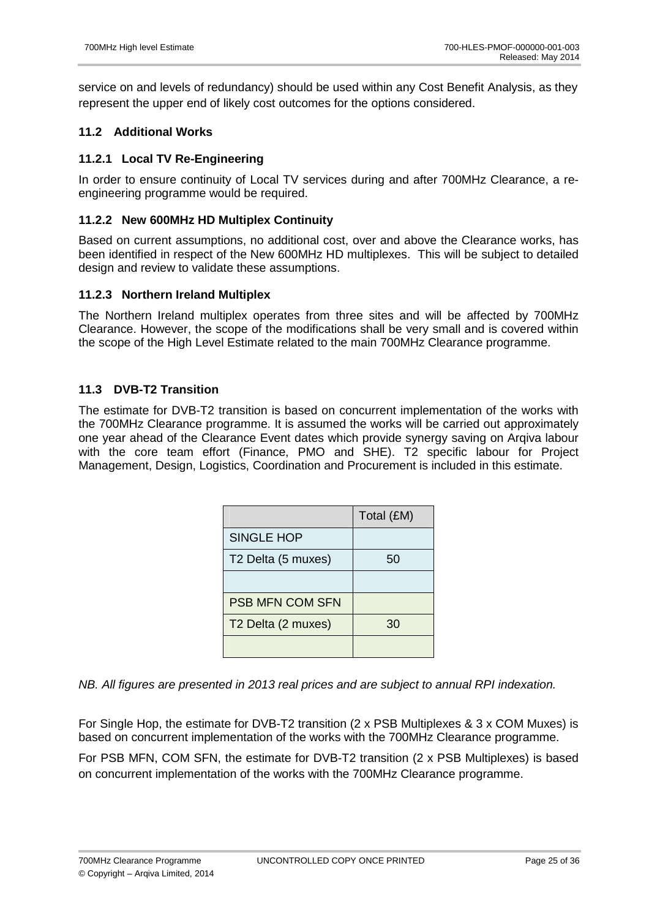service on and levels of redundancy) should be used within any Cost Benefit Analysis, as they represent the upper end of likely cost outcomes for the options considered.

# **11.2 Additional Works**

## **11.2.1 Local TV Re-Engineering**

In order to ensure continuity of Local TV services during and after 700MHz Clearance, a reengineering programme would be required.

## **11.2.2 New 600MHz HD Multiplex Continuity**

Based on current assumptions, no additional cost, over and above the Clearance works, has been identified in respect of the New 600MHz HD multiplexes. This will be subject to detailed design and review to validate these assumptions.

### **11.2.3 Northern Ireland Multiplex**

The Northern Ireland multiplex operates from three sites and will be affected by 700MHz Clearance. However, the scope of the modifications shall be very small and is covered within the scope of the High Level Estimate related to the main 700MHz Clearance programme.

## **11.3 DVB-T2 Transition**

The estimate for DVB-T2 transition is based on concurrent implementation of the works with the 700MHz Clearance programme. It is assumed the works will be carried out approximately one year ahead of the Clearance Event dates which provide synergy saving on Arqiva labour with the core team effort (Finance, PMO and SHE). T2 specific labour for Project Management, Design, Logistics, Coordination and Procurement is included in this estimate.

|                                | Total (£M) |
|--------------------------------|------------|
| <b>SINGLE HOP</b>              |            |
| T2 Delta (5 muxes)             | 50         |
|                                |            |
| <b>PSB MFN COM SFN</b>         |            |
| T <sub>2</sub> Delta (2 muxes) | 30         |
|                                |            |

NB. All figures are presented in 2013 real prices and are subject to annual RPI indexation.

For Single Hop, the estimate for DVB-T2 transition (2 x PSB Multiplexes & 3 x COM Muxes) is based on concurrent implementation of the works with the 700MHz Clearance programme.

For PSB MFN, COM SFN, the estimate for DVB-T2 transition (2 x PSB Multiplexes) is based on concurrent implementation of the works with the 700MHz Clearance programme.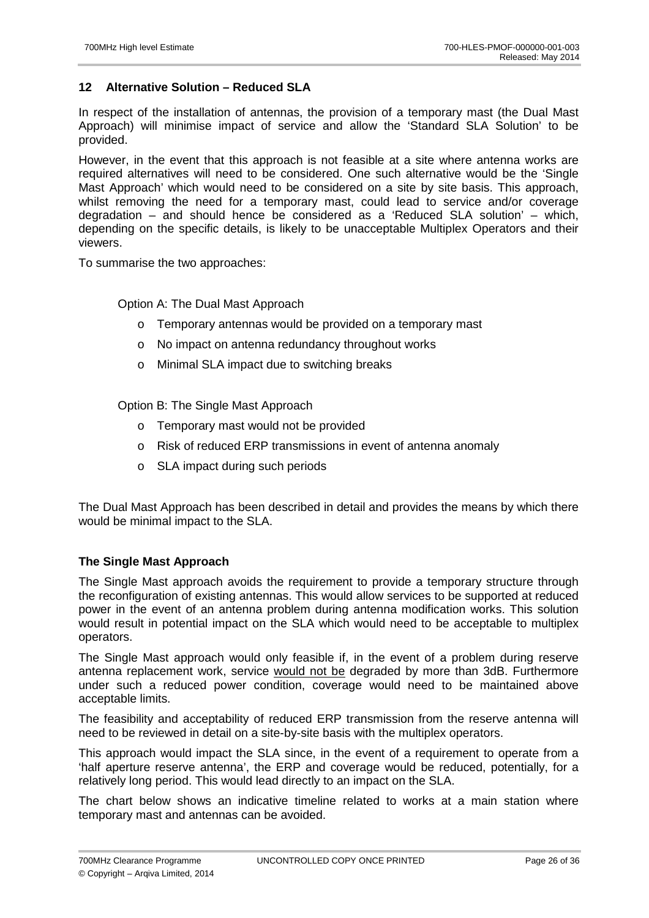## **12 Alternative Solution – Reduced SLA**

In respect of the installation of antennas, the provision of a temporary mast (the Dual Mast Approach) will minimise impact of service and allow the 'Standard SLA Solution' to be provided.

However, in the event that this approach is not feasible at a site where antenna works are required alternatives will need to be considered. One such alternative would be the 'Single Mast Approach' which would need to be considered on a site by site basis. This approach, whilst removing the need for a temporary mast, could lead to service and/or coverage degradation – and should hence be considered as a 'Reduced SLA solution' – which, depending on the specific details, is likely to be unacceptable Multiplex Operators and their viewers.

To summarise the two approaches:

Option A: The Dual Mast Approach

- o Temporary antennas would be provided on a temporary mast
- o No impact on antenna redundancy throughout works
- o Minimal SLA impact due to switching breaks

Option B: The Single Mast Approach

- o Temporary mast would not be provided
- o Risk of reduced ERP transmissions in event of antenna anomaly
- o SLA impact during such periods

The Dual Mast Approach has been described in detail and provides the means by which there would be minimal impact to the SLA.

## **The Single Mast Approach**

The Single Mast approach avoids the requirement to provide a temporary structure through the reconfiguration of existing antennas. This would allow services to be supported at reduced power in the event of an antenna problem during antenna modification works. This solution would result in potential impact on the SLA which would need to be acceptable to multiplex operators.

The Single Mast approach would only feasible if, in the event of a problem during reserve antenna replacement work, service would not be degraded by more than 3dB. Furthermore under such a reduced power condition, coverage would need to be maintained above acceptable limits.

The feasibility and acceptability of reduced ERP transmission from the reserve antenna will need to be reviewed in detail on a site-by-site basis with the multiplex operators.

This approach would impact the SLA since, in the event of a requirement to operate from a 'half aperture reserve antenna', the ERP and coverage would be reduced, potentially, for a relatively long period. This would lead directly to an impact on the SLA.

The chart below shows an indicative timeline related to works at a main station where temporary mast and antennas can be avoided.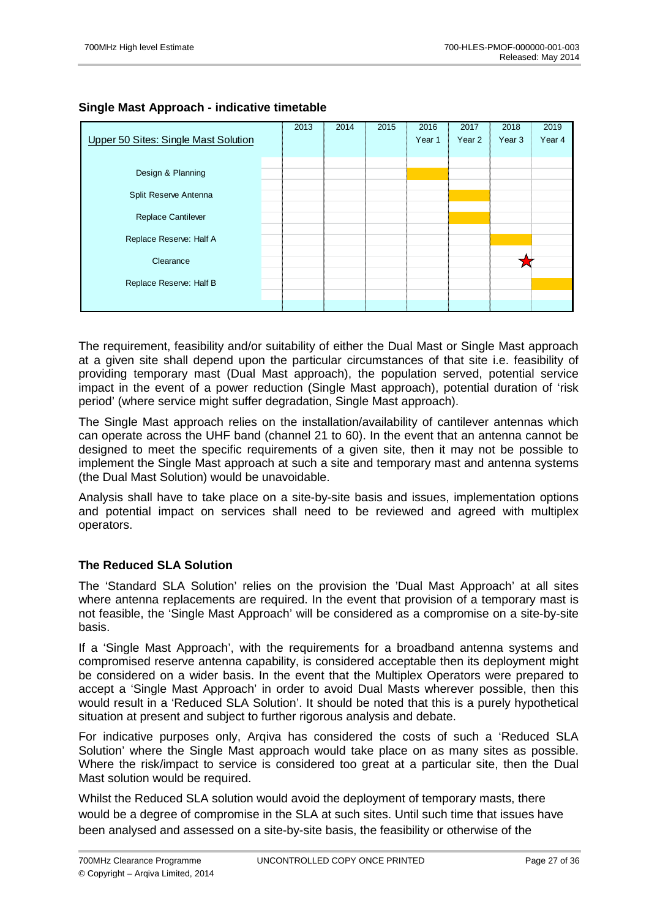# **Single Mast Approach - indicative timetable**

|                                      | 2013 | 2014 | 2015 | 2016              | 2017   | 2018              | 2019   |
|--------------------------------------|------|------|------|-------------------|--------|-------------------|--------|
| Upper 50 Sites: Single Mast Solution |      |      |      | Year <sub>1</sub> | Year 2 | Year <sub>3</sub> | Year 4 |
|                                      |      |      |      |                   |        |                   |        |
|                                      |      |      |      |                   |        |                   |        |
| Design & Planning                    |      |      |      |                   |        |                   |        |
|                                      |      |      |      |                   |        |                   |        |
| Split Reserve Antenna                |      |      |      |                   |        |                   |        |
|                                      |      |      |      |                   |        |                   |        |
| Replace Cantilever                   |      |      |      |                   |        |                   |        |
| Replace Reserve: Half A              |      |      |      |                   |        |                   |        |
|                                      |      |      |      |                   |        |                   |        |
| Clearance                            |      |      |      |                   |        |                   |        |
|                                      |      |      |      |                   |        |                   |        |
| Replace Reserve: Half B              |      |      |      |                   |        |                   |        |
|                                      |      |      |      |                   |        |                   |        |
|                                      |      |      |      |                   |        |                   |        |

The requirement, feasibility and/or suitability of either the Dual Mast or Single Mast approach at a given site shall depend upon the particular circumstances of that site i.e. feasibility of providing temporary mast (Dual Mast approach), the population served, potential service impact in the event of a power reduction (Single Mast approach), potential duration of 'risk period' (where service might suffer degradation, Single Mast approach).

The Single Mast approach relies on the installation/availability of cantilever antennas which can operate across the UHF band (channel 21 to 60). In the event that an antenna cannot be designed to meet the specific requirements of a given site, then it may not be possible to implement the Single Mast approach at such a site and temporary mast and antenna systems (the Dual Mast Solution) would be unavoidable.

Analysis shall have to take place on a site-by-site basis and issues, implementation options and potential impact on services shall need to be reviewed and agreed with multiplex operators.

## **The Reduced SLA Solution**

The 'Standard SLA Solution' relies on the provision the 'Dual Mast Approach' at all sites where antenna replacements are required. In the event that provision of a temporary mast is not feasible, the 'Single Mast Approach' will be considered as a compromise on a site-by-site basis.

If a 'Single Mast Approach', with the requirements for a broadband antenna systems and compromised reserve antenna capability, is considered acceptable then its deployment might be considered on a wider basis. In the event that the Multiplex Operators were prepared to accept a 'Single Mast Approach' in order to avoid Dual Masts wherever possible, then this would result in a 'Reduced SLA Solution'. It should be noted that this is a purely hypothetical situation at present and subject to further rigorous analysis and debate.

For indicative purposes only, Arqiva has considered the costs of such a 'Reduced SLA Solution' where the Single Mast approach would take place on as many sites as possible. Where the risk/impact to service is considered too great at a particular site, then the Dual Mast solution would be required.

Whilst the Reduced SLA solution would avoid the deployment of temporary masts, there would be a degree of compromise in the SLA at such sites. Until such time that issues have been analysed and assessed on a site-by-site basis, the feasibility or otherwise of the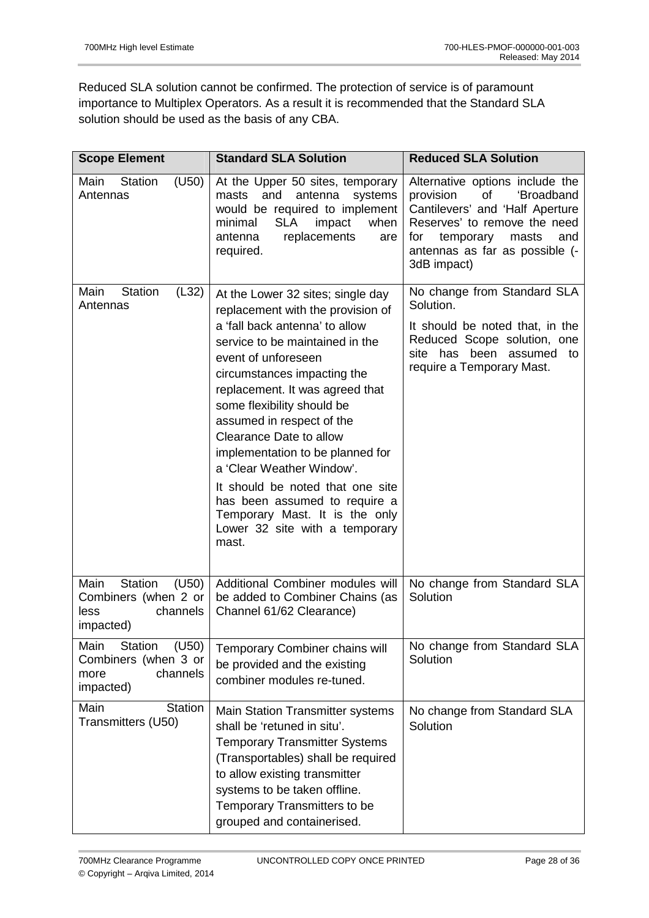Reduced SLA solution cannot be confirmed. The protection of service is of paramount importance to Multiplex Operators. As a result it is recommended that the Standard SLA solution should be used as the basis of any CBA.

| <b>Scope Element</b>                                                                                                        | <b>Standard SLA Solution</b>                                                                                                                                                                                                                                                                                                                                                                                                                                                                                                                  | <b>Reduced SLA Solution</b>                                                                                                                                                                                              |  |  |
|-----------------------------------------------------------------------------------------------------------------------------|-----------------------------------------------------------------------------------------------------------------------------------------------------------------------------------------------------------------------------------------------------------------------------------------------------------------------------------------------------------------------------------------------------------------------------------------------------------------------------------------------------------------------------------------------|--------------------------------------------------------------------------------------------------------------------------------------------------------------------------------------------------------------------------|--|--|
| Main<br><b>Station</b><br>(U50)<br>Antennas                                                                                 | At the Upper 50 sites, temporary<br>and<br>masts<br>antenna<br>systems<br>would be required to implement<br>minimal<br><b>SLA</b><br>impact<br>when<br>replacements<br>antenna<br>are<br>required.                                                                                                                                                                                                                                                                                                                                            | Alternative options include the<br>provision<br>of<br>'Broadband<br>Cantilevers' and 'Half Aperture<br>Reserves' to remove the need<br>temporary<br>masts<br>and<br>for<br>antennas as far as possible (-<br>3dB impact) |  |  |
| <b>Station</b><br>(L32)<br>Main<br>Antennas                                                                                 | At the Lower 32 sites; single day<br>replacement with the provision of<br>a 'fall back antenna' to allow<br>service to be maintained in the<br>event of unforeseen<br>circumstances impacting the<br>replacement. It was agreed that<br>some flexibility should be<br>assumed in respect of the<br>Clearance Date to allow<br>implementation to be planned for<br>a 'Clear Weather Window'.<br>It should be noted that one site<br>has been assumed to require a<br>Temporary Mast. It is the only<br>Lower 32 site with a temporary<br>mast. | No change from Standard SLA<br>Solution.<br>It should be noted that, in the<br>Reduced Scope solution, one<br>site has been assumed<br>to<br>require a Temporary Mast.                                                   |  |  |
| Main<br><b>Station</b><br>(U50)<br>Combiners (when 2 or<br>channels<br>less<br>impacted)<br><b>Station</b><br>(U50)<br>Main | Additional Combiner modules will<br>be added to Combiner Chains (as<br>Channel 61/62 Clearance)<br>Temporary Combiner chains will                                                                                                                                                                                                                                                                                                                                                                                                             | No change from Standard SLA<br>Solution<br>No change from Standard SLA                                                                                                                                                   |  |  |
| Combiners (when 3 or<br>channels<br>more<br>impacted)                                                                       | be provided and the existing<br>combiner modules re-tuned.                                                                                                                                                                                                                                                                                                                                                                                                                                                                                    | Solution                                                                                                                                                                                                                 |  |  |
| Main<br><b>Station</b><br>Transmitters (U50)                                                                                | Main Station Transmitter systems<br>shall be 'retuned in situ'.<br><b>Temporary Transmitter Systems</b><br>(Transportables) shall be required<br>to allow existing transmitter<br>systems to be taken offline.<br>Temporary Transmitters to be<br>grouped and containerised.                                                                                                                                                                                                                                                                  | No change from Standard SLA<br>Solution                                                                                                                                                                                  |  |  |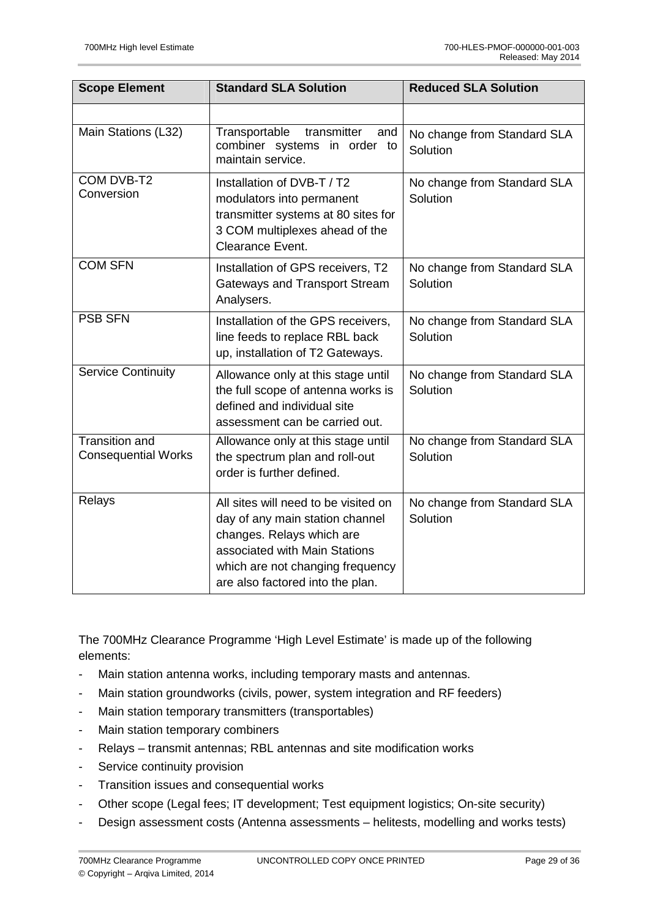| <b>Scope Element</b>                                | <b>Standard SLA Solution</b>                                                                                                                                                                                  | <b>Reduced SLA Solution</b>             |  |  |
|-----------------------------------------------------|---------------------------------------------------------------------------------------------------------------------------------------------------------------------------------------------------------------|-----------------------------------------|--|--|
|                                                     |                                                                                                                                                                                                               |                                         |  |  |
| Main Stations (L32)                                 | Transportable<br>transmitter<br>and<br>combiner systems in order to<br>maintain service.                                                                                                                      | No change from Standard SLA<br>Solution |  |  |
| COM DVB-T2<br>Conversion                            | Installation of DVB-T / T2<br>modulators into permanent<br>transmitter systems at 80 sites for<br>3 COM multiplexes ahead of the<br>Clearance Event.                                                          | No change from Standard SLA<br>Solution |  |  |
| <b>COM SFN</b>                                      | Installation of GPS receivers, T2<br><b>Gateways and Transport Stream</b><br>Analysers.                                                                                                                       | No change from Standard SLA<br>Solution |  |  |
| <b>PSB SFN</b>                                      | Installation of the GPS receivers,<br>line feeds to replace RBL back<br>up, installation of T2 Gateways.                                                                                                      | No change from Standard SLA<br>Solution |  |  |
| <b>Service Continuity</b>                           | Allowance only at this stage until<br>the full scope of antenna works is<br>defined and individual site<br>assessment can be carried out.                                                                     | No change from Standard SLA<br>Solution |  |  |
| <b>Transition and</b><br><b>Consequential Works</b> | Allowance only at this stage until<br>the spectrum plan and roll-out<br>order is further defined.                                                                                                             | No change from Standard SLA<br>Solution |  |  |
| Relays                                              | All sites will need to be visited on<br>day of any main station channel<br>changes. Relays which are<br>associated with Main Stations<br>which are not changing frequency<br>are also factored into the plan. | No change from Standard SLA<br>Solution |  |  |

The 700MHz Clearance Programme 'High Level Estimate' is made up of the following elements:

- Main station antenna works, including temporary masts and antennas.
- Main station groundworks (civils, power, system integration and RF feeders)
- Main station temporary transmitters (transportables)
- Main station temporary combiners
- Relays transmit antennas; RBL antennas and site modification works
- Service continuity provision
- Transition issues and consequential works
- Other scope (Legal fees; IT development; Test equipment logistics; On-site security)
- Design assessment costs (Antenna assessments helitests, modelling and works tests)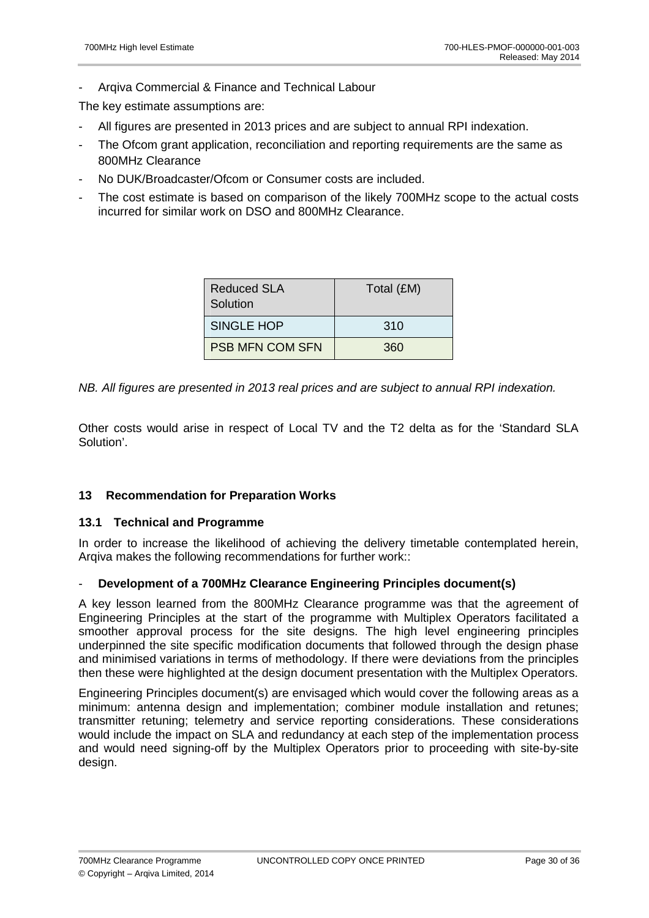Argiva Commercial & Finance and Technical Labour

The key estimate assumptions are:

- All figures are presented in 2013 prices and are subject to annual RPI indexation.
- The Ofcom grant application, reconciliation and reporting requirements are the same as 800MHz Clearance
- No DUK/Broadcaster/Ofcom or Consumer costs are included.
- The cost estimate is based on comparison of the likely 700MHz scope to the actual costs incurred for similar work on DSO and 800MHz Clearance.

| <b>Reduced SLA</b><br>Solution | Total (£M) |
|--------------------------------|------------|
| SINGLE HOP                     | 310        |
| <b>PSB MFN COM SFN</b>         | 360        |

NB. All figures are presented in 2013 real prices and are subject to annual RPI indexation.

Other costs would arise in respect of Local TV and the T2 delta as for the 'Standard SLA Solution'.

## **13 Recommendation for Preparation Works**

### **13.1 Technical and Programme**

In order to increase the likelihood of achieving the delivery timetable contemplated herein, Argiva makes the following recommendations for further work:

### - **Development of a 700MHz Clearance Engineering Principles document(s)**

A key lesson learned from the 800MHz Clearance programme was that the agreement of Engineering Principles at the start of the programme with Multiplex Operators facilitated a smoother approval process for the site designs. The high level engineering principles underpinned the site specific modification documents that followed through the design phase and minimised variations in terms of methodology. If there were deviations from the principles then these were highlighted at the design document presentation with the Multiplex Operators.

Engineering Principles document(s) are envisaged which would cover the following areas as a minimum: antenna design and implementation; combiner module installation and retunes; transmitter retuning; telemetry and service reporting considerations. These considerations would include the impact on SLA and redundancy at each step of the implementation process and would need signing-off by the Multiplex Operators prior to proceeding with site-by-site design.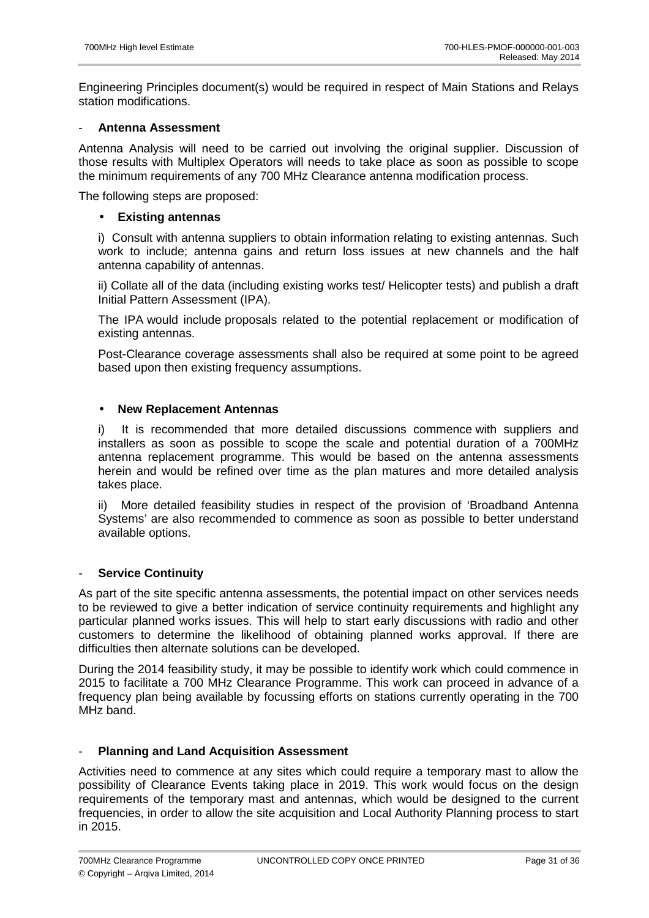Engineering Principles document(s) would be required in respect of Main Stations and Relays station modifications.

### - **Antenna Assessment**

Antenna Analysis will need to be carried out involving the original supplier. Discussion of those results with Multiplex Operators will needs to take place as soon as possible to scope the minimum requirements of any 700 MHz Clearance antenna modification process.

The following steps are proposed:

### • **Existing antennas**

i) Consult with antenna suppliers to obtain information relating to existing antennas. Such work to include; antenna gains and return loss issues at new channels and the half antenna capability of antennas.

ii) Collate all of the data (including existing works test/ Helicopter tests) and publish a draft Initial Pattern Assessment (IPA).

The IPA would include proposals related to the potential replacement or modification of existing antennas.

Post-Clearance coverage assessments shall also be required at some point to be agreed based upon then existing frequency assumptions.

### • **New Replacement Antennas**

i) It is recommended that more detailed discussions commence with suppliers and installers as soon as possible to scope the scale and potential duration of a 700MHz antenna replacement programme. This would be based on the antenna assessments herein and would be refined over time as the plan matures and more detailed analysis takes place.

ii) More detailed feasibility studies in respect of the provision of 'Broadband Antenna Systems' are also recommended to commence as soon as possible to better understand available options.

### - **Service Continuity**

As part of the site specific antenna assessments, the potential impact on other services needs to be reviewed to give a better indication of service continuity requirements and highlight any particular planned works issues. This will help to start early discussions with radio and other customers to determine the likelihood of obtaining planned works approval. If there are difficulties then alternate solutions can be developed.

During the 2014 feasibility study, it may be possible to identify work which could commence in 2015 to facilitate a 700 MHz Clearance Programme. This work can proceed in advance of a frequency plan being available by focussing efforts on stations currently operating in the 700 MHz band.

### - **Planning and Land Acquisition Assessment**

Activities need to commence at any sites which could require a temporary mast to allow the possibility of Clearance Events taking place in 2019. This work would focus on the design requirements of the temporary mast and antennas, which would be designed to the current frequencies, in order to allow the site acquisition and Local Authority Planning process to start in 2015.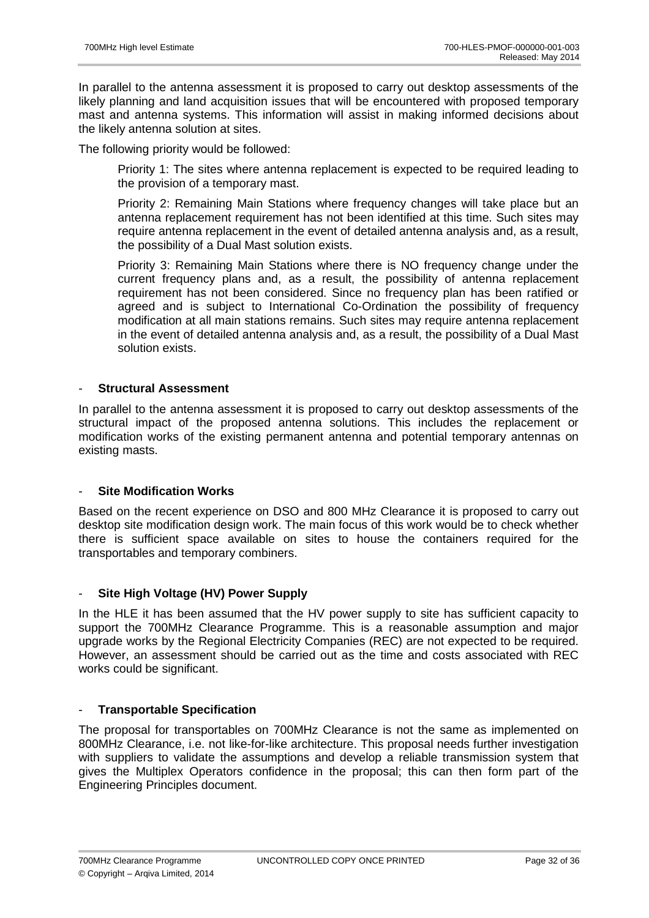In parallel to the antenna assessment it is proposed to carry out desktop assessments of the likely planning and land acquisition issues that will be encountered with proposed temporary mast and antenna systems. This information will assist in making informed decisions about the likely antenna solution at sites.

The following priority would be followed:

Priority 1: The sites where antenna replacement is expected to be required leading to the provision of a temporary mast.

Priority 2: Remaining Main Stations where frequency changes will take place but an antenna replacement requirement has not been identified at this time. Such sites may require antenna replacement in the event of detailed antenna analysis and, as a result, the possibility of a Dual Mast solution exists.

Priority 3: Remaining Main Stations where there is NO frequency change under the current frequency plans and, as a result, the possibility of antenna replacement requirement has not been considered. Since no frequency plan has been ratified or agreed and is subject to International Co-Ordination the possibility of frequency modification at all main stations remains. Such sites may require antenna replacement in the event of detailed antenna analysis and, as a result, the possibility of a Dual Mast solution exists.

### - **Structural Assessment**

In parallel to the antenna assessment it is proposed to carry out desktop assessments of the structural impact of the proposed antenna solutions. This includes the replacement or modification works of the existing permanent antenna and potential temporary antennas on existing masts.

## **Site Modification Works**

Based on the recent experience on DSO and 800 MHz Clearance it is proposed to carry out desktop site modification design work. The main focus of this work would be to check whether there is sufficient space available on sites to house the containers required for the transportables and temporary combiners.

## - **Site High Voltage (HV) Power Supply**

In the HLE it has been assumed that the HV power supply to site has sufficient capacity to support the 700MHz Clearance Programme. This is a reasonable assumption and major upgrade works by the Regional Electricity Companies (REC) are not expected to be required. However, an assessment should be carried out as the time and costs associated with REC works could be significant.

## - **Transportable Specification**

The proposal for transportables on 700MHz Clearance is not the same as implemented on 800MHz Clearance, i.e. not like-for-like architecture. This proposal needs further investigation with suppliers to validate the assumptions and develop a reliable transmission system that gives the Multiplex Operators confidence in the proposal; this can then form part of the Engineering Principles document.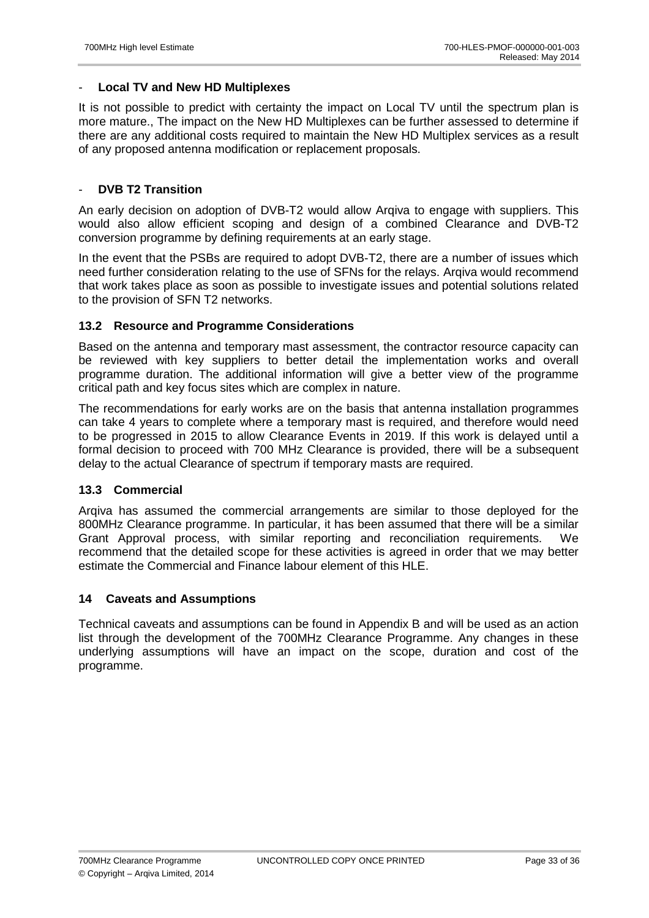### - **Local TV and New HD Multiplexes**

It is not possible to predict with certainty the impact on Local TV until the spectrum plan is more mature., The impact on the New HD Multiplexes can be further assessed to determine if there are any additional costs required to maintain the New HD Multiplex services as a result of any proposed antenna modification or replacement proposals.

### - **DVB T2 Transition**

An early decision on adoption of DVB-T2 would allow Arqiva to engage with suppliers. This would also allow efficient scoping and design of a combined Clearance and DVB-T2 conversion programme by defining requirements at an early stage.

In the event that the PSBs are required to adopt DVB-T2, there are a number of issues which need further consideration relating to the use of SFNs for the relays. Arqiva would recommend that work takes place as soon as possible to investigate issues and potential solutions related to the provision of SFN T2 networks.

### **13.2 Resource and Programme Considerations**

Based on the antenna and temporary mast assessment, the contractor resource capacity can be reviewed with key suppliers to better detail the implementation works and overall programme duration. The additional information will give a better view of the programme critical path and key focus sites which are complex in nature.

The recommendations for early works are on the basis that antenna installation programmes can take 4 years to complete where a temporary mast is required, and therefore would need to be progressed in 2015 to allow Clearance Events in 2019. If this work is delayed until a formal decision to proceed with 700 MHz Clearance is provided, there will be a subsequent delay to the actual Clearance of spectrum if temporary masts are required.

### **13.3 Commercial**

Arqiva has assumed the commercial arrangements are similar to those deployed for the 800MHz Clearance programme. In particular, it has been assumed that there will be a similar Grant Approval process, with similar reporting and reconciliation requirements. We recommend that the detailed scope for these activities is agreed in order that we may better estimate the Commercial and Finance labour element of this HLE.

### **14 Caveats and Assumptions**

Technical caveats and assumptions can be found in Appendix B and will be used as an action list through the development of the 700MHz Clearance Programme. Any changes in these underlying assumptions will have an impact on the scope, duration and cost of the programme.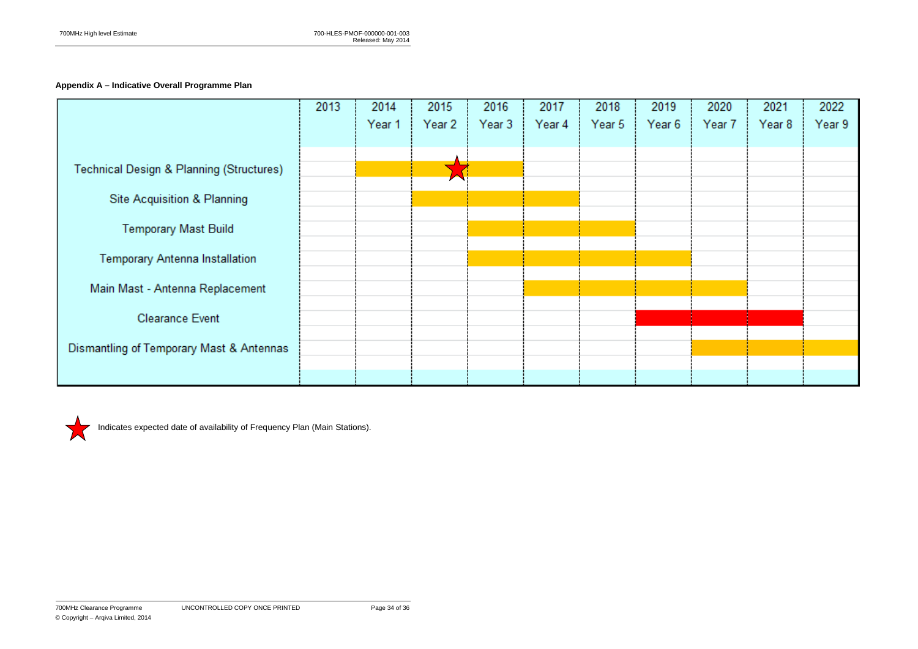# **Appendix A – Indicative Overall Programme Plan**

|                                                     | 2013 | 2014   | 2015      | 2016     | 2017   | 2018   | 2019   | 2020   | 2021   | 2022   |
|-----------------------------------------------------|------|--------|-----------|----------|--------|--------|--------|--------|--------|--------|
|                                                     |      | Year 1 | Year $21$ | Year $3$ | Year 4 | Year 5 | Year 6 | Year 7 | Year 8 | Year 9 |
|                                                     |      |        |           |          |        |        |        |        |        |        |
|                                                     |      |        |           |          |        |        |        |        |        |        |
| <b>Technical Design &amp; Planning (Structures)</b> |      |        |           |          |        |        |        |        |        |        |
|                                                     |      |        |           |          |        |        |        |        |        |        |
| <b>Site Acquisition &amp; Planning</b>              |      |        |           |          |        |        |        |        |        |        |
| <b>Temporary Mast Build</b>                         |      |        |           |          |        |        |        |        |        |        |
|                                                     |      |        |           |          |        |        |        |        |        |        |
| Temporary Antenna Installation                      |      |        |           |          |        |        |        |        |        |        |
|                                                     |      |        |           |          |        |        |        |        |        |        |
| Main Mast - Antenna Replacement                     |      |        |           |          |        |        |        |        |        |        |
|                                                     |      |        |           |          |        |        |        |        |        |        |
| <b>Clearance Event</b>                              |      |        |           |          |        |        |        |        |        |        |
| Dismantling of Temporary Mast & Antennas            |      |        |           |          |        |        |        |        |        |        |
|                                                     |      |        |           |          |        |        |        |        |        |        |
|                                                     |      |        |           |          |        |        |        |        |        |        |



Indicates expected date of availability of Frequency Plan (Main Stations).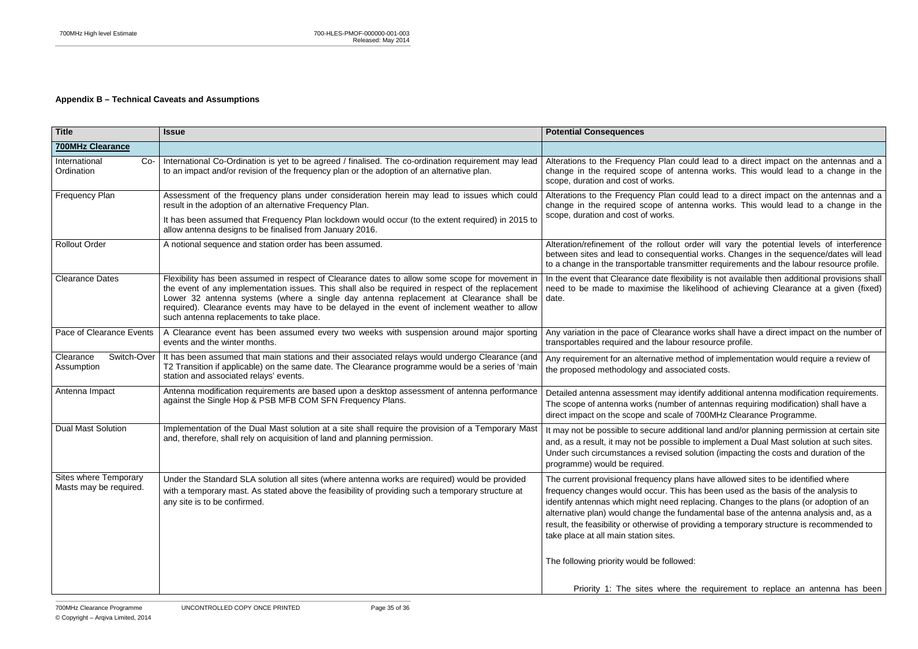uld lead to a direct impact on the antennas and a<br>enna works. This would lead to a change in the

### **Appendix B – Technical Caveats and Assumptions**

uld lead to a direct impact on the antennas and a change in the required scope of antenna works. This would lead to a change in the

rder will vary the potential levels of interference between sites and lead to consequential works. Changes in the sequence/dates will lead nitter requirements and the labour resource profile.

bility is not available then additional provisions shall need to be made to maximise the likelihood of achieving Clearance at a given (fixed)

> works shall have a direct impact on the number of resource profile.

thod of implementation would require a review of ated costs.

ntify additional antenna modification requirements.<br>of antennas requiring modification) shall have a of 700MHz Clearance Programme.

onal land and/or planning permission at certain site<br>› to implement a Dual Mast solution at such sites. olution (impacting the costs and duration of the

Is have allowed sites to be identified where has been used as the basis of the analysis to blacing. Changes to the plans (or adoption of an damental base of the antenna analysis and, as a oviding a temporary structure is recommended to

ne requirement to replace an antenna has been

| <b>Title</b>                                           | <b>Issue</b>                                                                                                                                                                                                                                                                                                                                                                                                                               | <b>Potential Consequences</b>                                                                                                                                                                                                                                      |
|--------------------------------------------------------|--------------------------------------------------------------------------------------------------------------------------------------------------------------------------------------------------------------------------------------------------------------------------------------------------------------------------------------------------------------------------------------------------------------------------------------------|--------------------------------------------------------------------------------------------------------------------------------------------------------------------------------------------------------------------------------------------------------------------|
| <b>700MHz Clearance</b>                                |                                                                                                                                                                                                                                                                                                                                                                                                                                            |                                                                                                                                                                                                                                                                    |
| International<br>$Co-$<br>Ordination                   | International Co-Ordination is yet to be agreed / finalised. The co-ordination requirement may lead<br>to an impact and/or revision of the frequency plan or the adoption of an alternative plan.                                                                                                                                                                                                                                          | Alterations to the Frequency Plan could<br>change in the required scope of anten<br>scope, duration and cost of works.                                                                                                                                             |
| <b>Frequency Plan</b>                                  | Assessment of the frequency plans under consideration herein may lead to issues which could<br>result in the adoption of an alternative Frequency Plan.<br>It has been assumed that Frequency Plan lockdown would occur (to the extent required) in 2015 to<br>allow antenna designs to be finalised from January 2016.                                                                                                                    | Alterations to the Frequency Plan could<br>change in the required scope of anten<br>scope, duration and cost of works.                                                                                                                                             |
| <b>Rollout Order</b>                                   | A notional sequence and station order has been assumed.                                                                                                                                                                                                                                                                                                                                                                                    | Alteration/refinement of the rollout order<br>between sites and lead to consequential<br>to a change in the transportable transmit                                                                                                                                 |
| <b>Clearance Dates</b>                                 | Flexibility has been assumed in respect of Clearance dates to allow some scope for movement in<br>the event of any implementation issues. This shall also be required in respect of the replacement<br>Lower 32 antenna systems (where a single day antenna replacement at Clearance shall be<br>required). Clearance events may have to be delayed in the event of inclement weather to allow<br>such antenna replacements to take place. | In the event that Clearance date flexibilit<br>need to be made to maximise the likel<br>date.                                                                                                                                                                      |
| Pace of Clearance Events                               | A Clearance event has been assumed every two weeks with suspension around major sporting<br>events and the winter months.                                                                                                                                                                                                                                                                                                                  | Any variation in the pace of Clearance w<br>transportables required and the labour re                                                                                                                                                                              |
| Switch-Over<br>Clearance<br>Assumption                 | It has been assumed that main stations and their associated relays would undergo Clearance (and<br>T2 Transition if applicable) on the same date. The Clearance programme would be a series of 'main<br>station and associated relays' events.                                                                                                                                                                                             | Any requirement for an alternative metho<br>the proposed methodology and associate                                                                                                                                                                                 |
| Antenna Impact                                         | Antenna modification requirements are based upon a desktop assessment of antenna performance<br>against the Single Hop & PSB MFB COM SFN Frequency Plans.                                                                                                                                                                                                                                                                                  | Detailed antenna assessment may ident<br>The scope of antenna works (number of<br>direct impact on the scope and scale of 7                                                                                                                                        |
| <b>Dual Mast Solution</b>                              | Implementation of the Dual Mast solution at a site shall require the provision of a Temporary Mast<br>and, therefore, shall rely on acquisition of land and planning permission.                                                                                                                                                                                                                                                           | It may not be possible to secure addition<br>and, as a result, it may not be possible to<br>Under such circumstances a revised solu<br>programme) would be required.                                                                                               |
| <b>Sites where Temporary</b><br>Masts may be required. | Under the Standard SLA solution all sites (where antenna works are required) would be provided<br>with a temporary mast. As stated above the feasibility of providing such a temporary structure at<br>any site is to be confirmed.                                                                                                                                                                                                        | The current provisional frequency plans<br>frequency changes would occur. This ha<br>identify antennas which might need repla<br>alternative plan) would change the funda<br>result, the feasibility or otherwise of prov<br>take place at all main station sites. |
|                                                        |                                                                                                                                                                                                                                                                                                                                                                                                                                            | The following priority would be followed:                                                                                                                                                                                                                          |
|                                                        |                                                                                                                                                                                                                                                                                                                                                                                                                                            | Priority 1: The sites where the                                                                                                                                                                                                                                    |